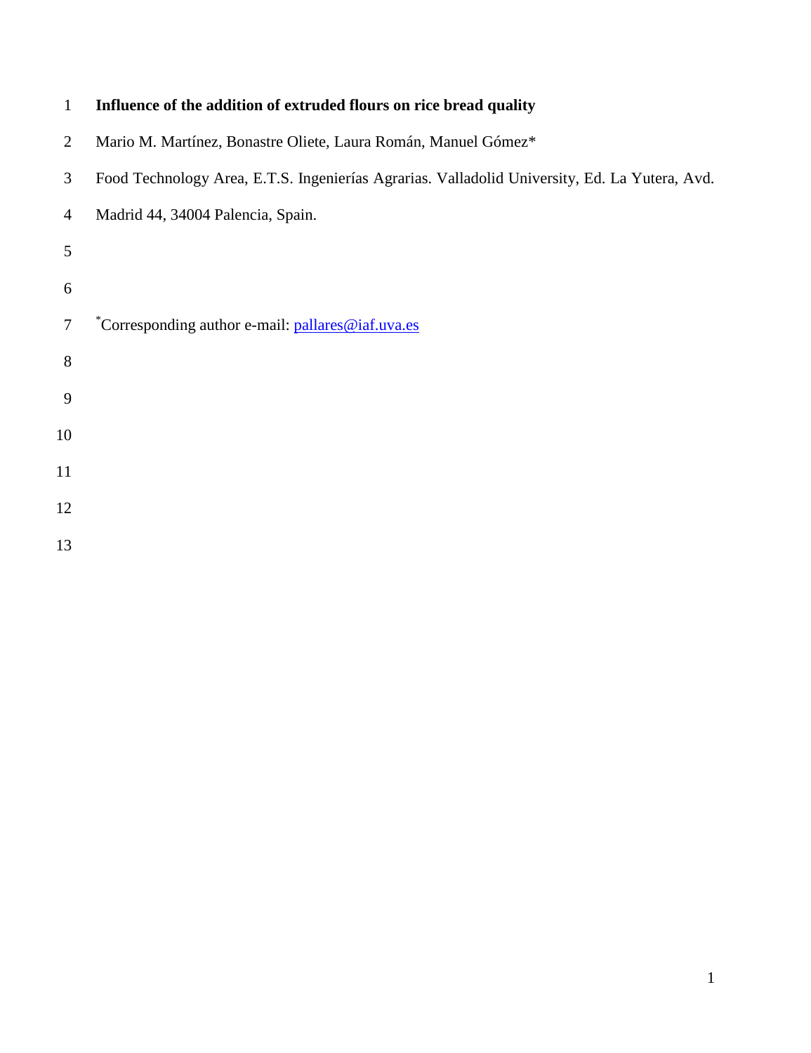| $\mathbf{1}$   | Influence of the addition of extruded flours on rice bread quality                            |
|----------------|-----------------------------------------------------------------------------------------------|
| $\overline{2}$ | Mario M. Martínez, Bonastre Oliete, Laura Román, Manuel Gómez*                                |
| 3              | Food Technology Area, E.T.S. Ingenierías Agrarias. Valladolid University, Ed. La Yutera, Avd. |
| $\overline{4}$ | Madrid 44, 34004 Palencia, Spain.                                                             |
| 5              |                                                                                               |
| 6              |                                                                                               |
| $\tau$         | *Corresponding author e-mail: pallares@iaf.uva.es                                             |
| $8\,$          |                                                                                               |
| 9              |                                                                                               |
| 10             |                                                                                               |
| 11             |                                                                                               |
| 12             |                                                                                               |
| 13             |                                                                                               |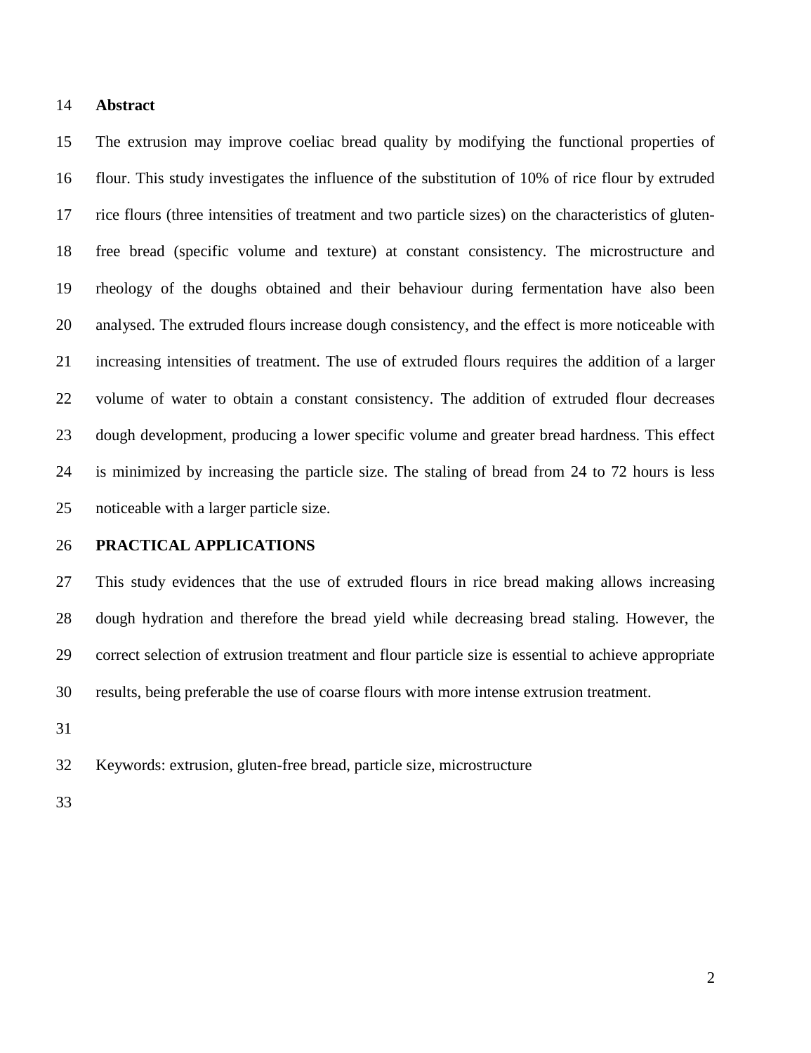#### **Abstract**

 The extrusion may improve coeliac bread quality by modifying the functional properties of flour. This study investigates the influence of the substitution of 10% of rice flour by extruded rice flours (three intensities of treatment and two particle sizes) on the characteristics of gluten- free bread (specific volume and texture) at constant consistency. The microstructure and rheology of the doughs obtained and their behaviour during fermentation have also been analysed. The extruded flours increase dough consistency, and the effect is more noticeable with increasing intensities of treatment. The use of extruded flours requires the addition of a larger volume of water to obtain a constant consistency. The addition of extruded flour decreases dough development, producing a lower specific volume and greater bread hardness. This effect is minimized by increasing the particle size. The staling of bread from 24 to 72 hours is less noticeable with a larger particle size.

# **PRACTICAL APPLICATIONS**

 This study evidences that the use of extruded flours in rice bread making allows increasing dough hydration and therefore the bread yield while decreasing bread staling. However, the correct selection of extrusion treatment and flour particle size is essential to achieve appropriate results, being preferable the use of coarse flours with more intense extrusion treatment.

Keywords: extrusion, gluten-free bread, particle size, microstructure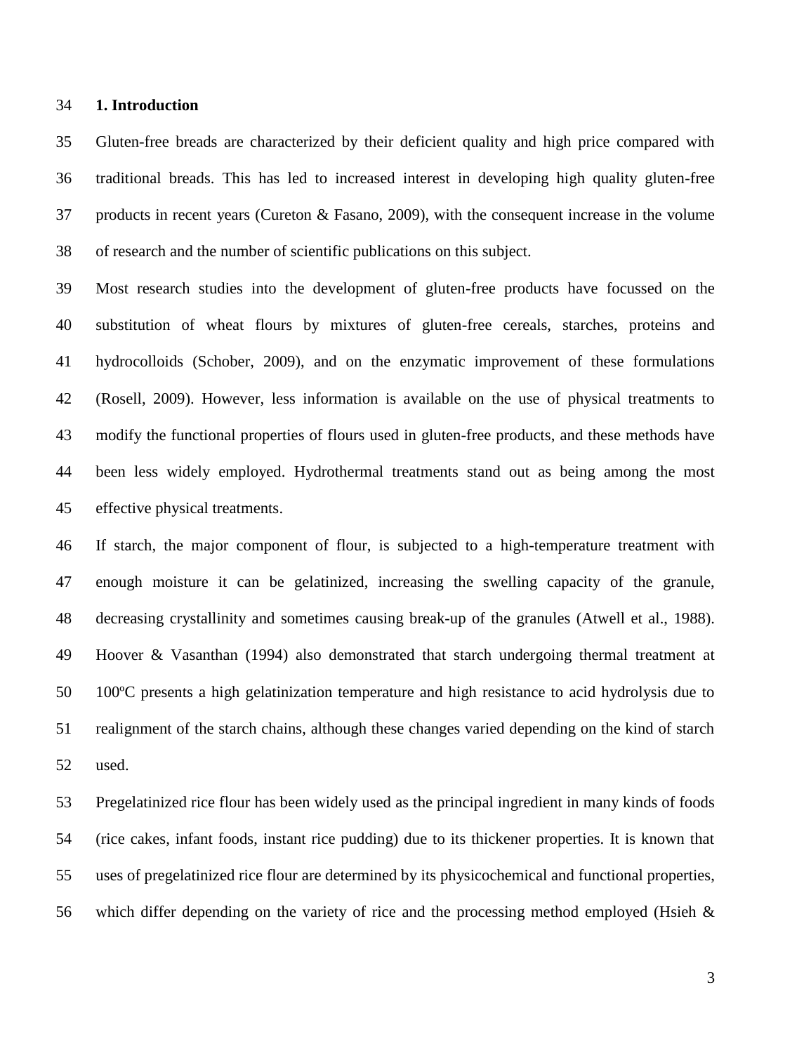#### **1. Introduction**

 Gluten-free breads are characterized by their deficient quality and high price compared with traditional breads. This has led to increased interest in developing high quality gluten-free products in recent years (Cureton & Fasano, 2009), with the consequent increase in the volume of research and the number of scientific publications on this subject.

 Most research studies into the development of gluten-free products have focussed on the substitution of wheat flours by mixtures of gluten-free cereals, starches, proteins and hydrocolloids (Schober, 2009), and on the enzymatic improvement of these formulations (Rosell, 2009). However, less information is available on the use of physical treatments to modify the functional properties of flours used in gluten-free products, and these methods have been less widely employed. Hydrothermal treatments stand out as being among the most effective physical treatments.

 If starch, the major component of flour, is subjected to a high-temperature treatment with enough moisture it can be gelatinized, increasing the swelling capacity of the granule, decreasing crystallinity and sometimes causing break-up of the granules (Atwell et al., 1988). Hoover & Vasanthan (1994) also demonstrated that starch undergoing thermal treatment at 100ºC presents a high gelatinization temperature and high resistance to acid hydrolysis due to realignment of the starch chains, although these changes varied depending on the kind of starch used.

 Pregelatinized rice flour has been widely used as the principal ingredient in many kinds of foods (rice cakes, infant foods, instant rice pudding) due to its thickener properties. It is known that uses of pregelatinized rice flour are determined by its physicochemical and functional properties, which differ depending on the variety of rice and the processing method employed (Hsieh &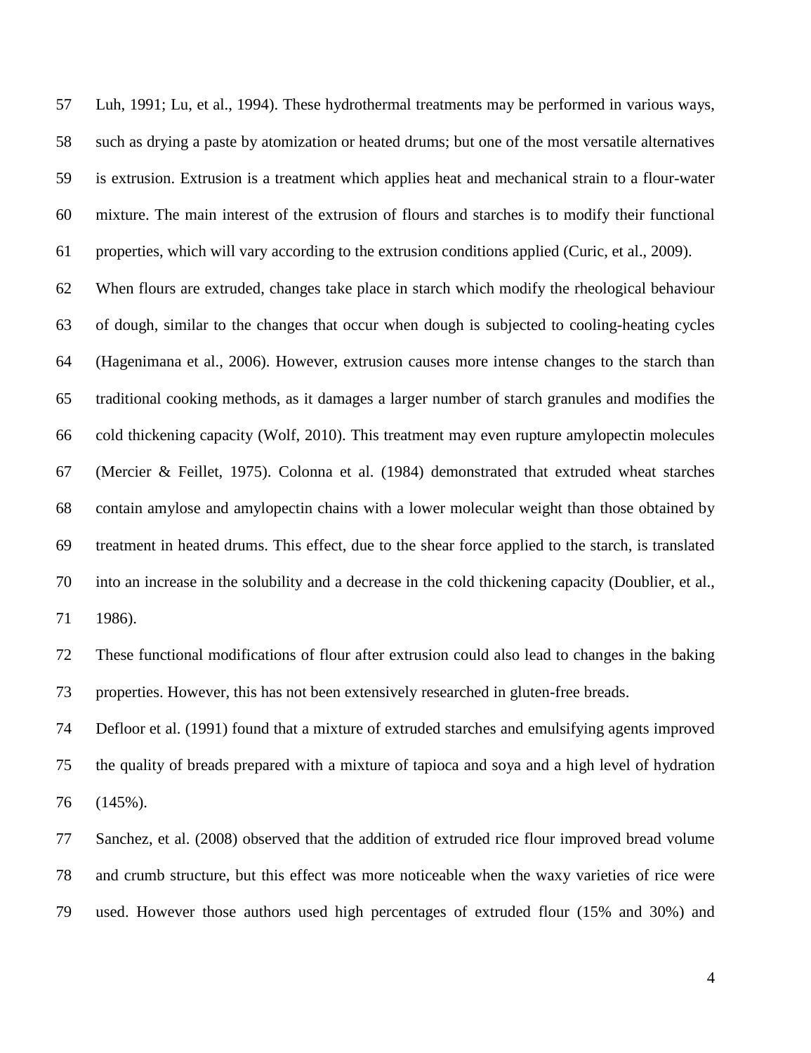Luh, 1991; Lu, et al., 1994). These hydrothermal treatments may be performed in various ways, such as drying a paste by atomization or heated drums; but one of the most versatile alternatives is extrusion. Extrusion is a treatment which applies heat and mechanical strain to a flour-water mixture. The main interest of the extrusion of flours and starches is to modify their functional properties, which will vary according to the extrusion conditions applied (Curic, et al., 2009).

 When flours are extruded, changes take place in starch which modify the rheological behaviour of dough, similar to the changes that occur when dough is subjected to cooling-heating cycles (Hagenimana et al., 2006). However, extrusion causes more intense changes to the starch than traditional cooking methods, as it damages a larger number of starch granules and modifies the cold thickening capacity (Wolf, 2010). This treatment may even rupture amylopectin molecules (Mercier & Feillet, 1975). Colonna et al. (1984) demonstrated that extruded wheat starches contain amylose and amylopectin chains with a lower molecular weight than those obtained by treatment in heated drums. This effect, due to the shear force applied to the starch, is translated into an increase in the solubility and a decrease in the cold thickening capacity (Doublier, et al., 1986).

 These functional modifications of flour after extrusion could also lead to changes in the baking properties. However, this has not been extensively researched in gluten-free breads.

 Defloor et al. (1991) found that a mixture of extruded starches and emulsifying agents improved the quality of breads prepared with a mixture of tapioca and soya and a high level of hydration (145%).

 Sanchez, et al. (2008) observed that the addition of extruded rice flour improved bread volume and crumb structure, but this effect was more noticeable when the waxy varieties of rice were used. However those authors used high percentages of extruded flour (15% and 30%) and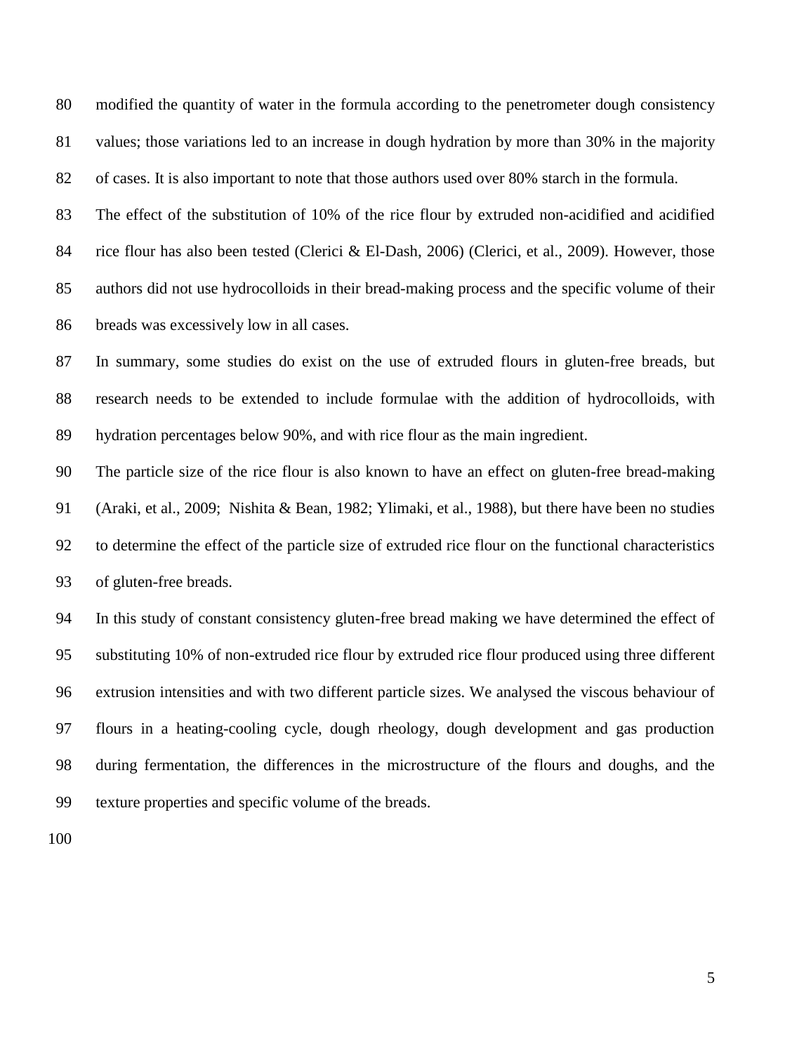modified the quantity of water in the formula according to the penetrometer dough consistency values; those variations led to an increase in dough hydration by more than 30% in the majority of cases. It is also important to note that those authors used over 80% starch in the formula.

 The effect of the substitution of 10% of the rice flour by extruded non-acidified and acidified rice flour has also been tested (Clerici & El-Dash, 2006) (Clerici, et al., 2009). However, those authors did not use hydrocolloids in their bread-making process and the specific volume of their breads was excessively low in all cases.

 In summary, some studies do exist on the use of extruded flours in gluten-free breads, but research needs to be extended to include formulae with the addition of hydrocolloids, with hydration percentages below 90%, and with rice flour as the main ingredient.

 The particle size of the rice flour is also known to have an effect on gluten-free bread-making (Araki, et al., 2009; Nishita & Bean, 1982; Ylimaki, et al., 1988), but there have been no studies to determine the effect of the particle size of extruded rice flour on the functional characteristics of gluten-free breads.

 In this study of constant consistency gluten-free bread making we have determined the effect of substituting 10% of non-extruded rice flour by extruded rice flour produced using three different extrusion intensities and with two different particle sizes. We analysed the viscous behaviour of flours in a heating-cooling cycle, dough rheology, dough development and gas production during fermentation, the differences in the microstructure of the flours and doughs, and the texture properties and specific volume of the breads.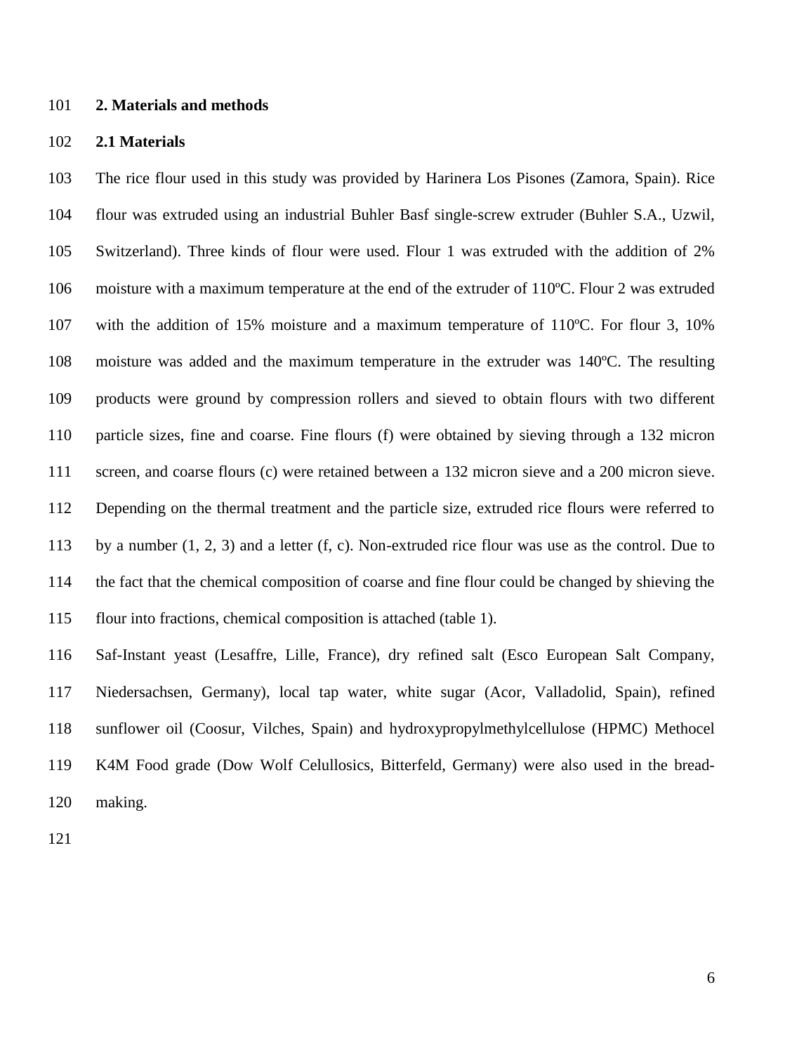#### **2. Materials and methods**

### **2.1 Materials**

 The rice flour used in this study was provided by Harinera Los Pisones (Zamora, Spain). Rice flour was extruded using an industrial Buhler Basf single-screw extruder (Buhler S.A., Uzwil, Switzerland). Three kinds of flour were used. Flour 1 was extruded with the addition of 2% moisture with a maximum temperature at the end of the extruder of 110ºC. Flour 2 was extruded with the addition of 15% moisture and a maximum temperature of 110ºC. For flour 3, 10% moisture was added and the maximum temperature in the extruder was 140ºC. The resulting products were ground by compression rollers and sieved to obtain flours with two different particle sizes, fine and coarse. Fine flours (f) were obtained by sieving through a 132 micron screen, and coarse flours (c) were retained between a 132 micron sieve and a 200 micron sieve. Depending on the thermal treatment and the particle size, extruded rice flours were referred to by a number (1, 2, 3) and a letter (f, c). Non-extruded rice flour was use as the control. Due to the fact that the chemical composition of coarse and fine flour could be changed by shieving the flour into fractions, chemical composition is attached (table 1).

 Saf-Instant yeast (Lesaffre, Lille, France), dry refined salt (Esco European Salt Company, Niedersachsen, Germany), local tap water, white sugar (Acor, Valladolid, Spain), refined sunflower oil (Coosur, Vilches, Spain) and hydroxypropylmethylcellulose (HPMC) Methocel K4M Food grade (Dow Wolf Celullosics, Bitterfeld, Germany) were also used in the bread-making.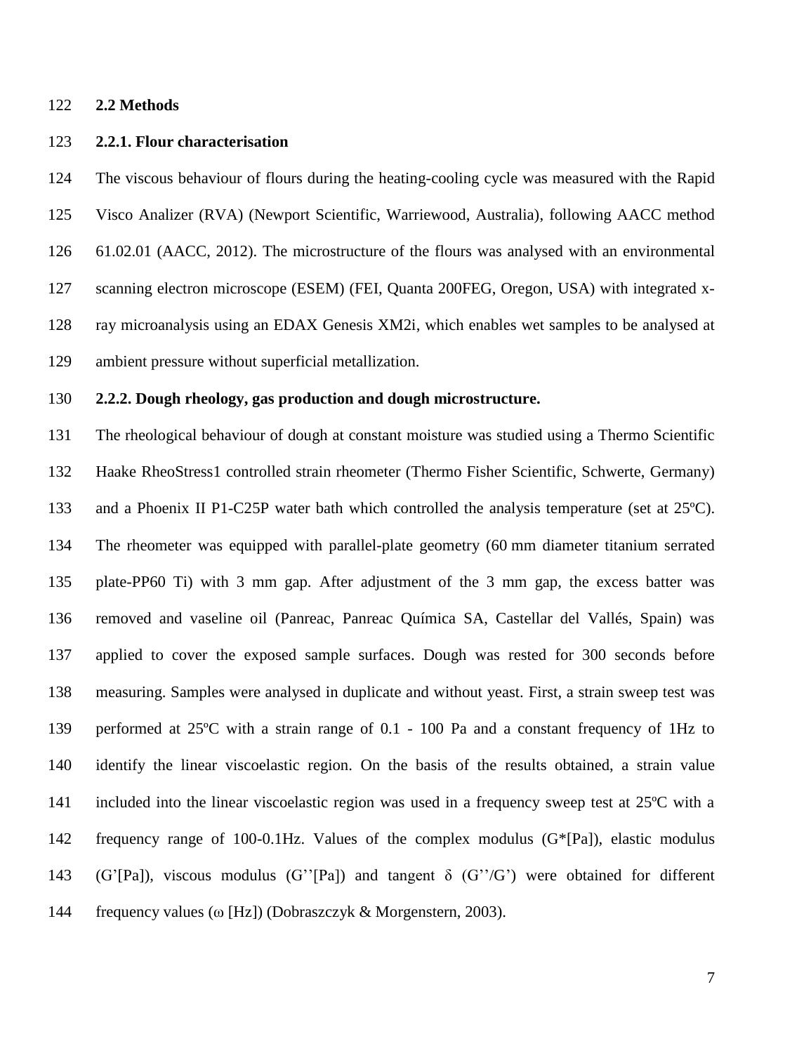#### **2.2 Methods**

### **2.2.1. Flour characterisation**

 The viscous behaviour of flours during the heating-cooling cycle was measured with the Rapid Visco Analizer (RVA) (Newport Scientific, Warriewood, Australia), following AACC method 61.02.01 (AACC, 2012). The microstructure of the flours was analysed with an environmental scanning electron microscope (ESEM) (FEI, Quanta 200FEG, Oregon, USA) with integrated x- ray microanalysis using an EDAX Genesis XM2i, which enables wet samples to be analysed at ambient pressure without superficial metallization.

### **2.2.2. Dough rheology, gas production and dough microstructure.**

 The rheological behaviour of dough at constant moisture was studied using a Thermo Scientific Haake RheoStress1 controlled strain rheometer (Thermo Fisher Scientific, Schwerte, Germany) and a Phoenix II P1-C25P water bath which controlled the analysis temperature (set at 25ºC). The rheometer was equipped with parallel-plate geometry (60 mm diameter titanium serrated plate-PP60 Ti) with 3 mm gap. After adjustment of the 3 mm gap, the excess batter was removed and vaseline oil (Panreac, Panreac Química SA, Castellar del Vallés, Spain) was applied to cover the exposed sample surfaces. Dough was rested for 300 seconds before measuring. Samples were analysed in duplicate and without yeast. First, a strain sweep test was performed at 25ºC with a strain range of 0.1 - 100 Pa and a constant frequency of 1Hz to identify the linear viscoelastic region. On the basis of the results obtained, a strain value 141 included into the linear viscoelastic region was used in a frequency sweep test at 25<sup>o</sup>C with a frequency range of 100-0.1Hz. Values of the complex modulus (G\*[Pa]), elastic modulus (G'[Pa]), viscous modulus (G''[Pa]) and tangent δ (G''/G') were obtained for different frequency values (ω [Hz]) (Dobraszczyk & Morgenstern, 2003).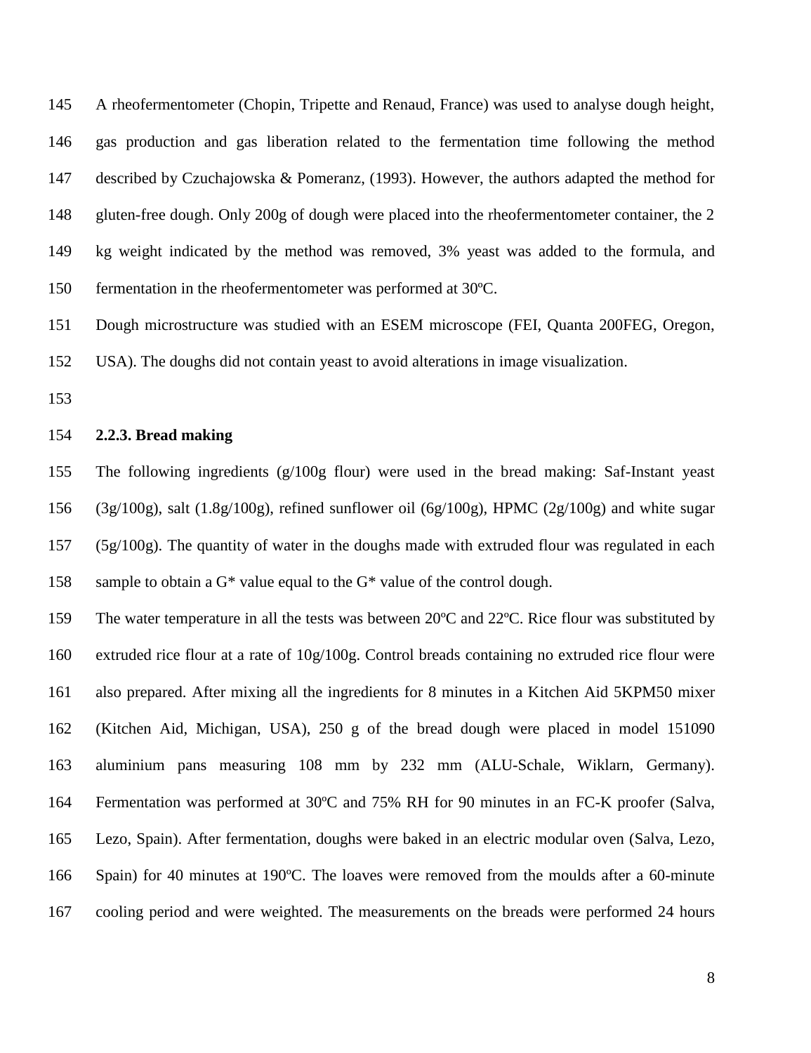A rheofermentometer (Chopin, Tripette and Renaud, France) was used to analyse dough height, gas production and gas liberation related to the fermentation time following the method described by Czuchajowska & Pomeranz, (1993). However, the authors adapted the method for 148 gluten-free dough. Only 200g of dough were placed into the rheofermentometer container, the 2 kg weight indicated by the method was removed, 3% yeast was added to the formula, and fermentation in the rheofermentometer was performed at 30ºC.

 Dough microstructure was studied with an ESEM microscope (FEI, Quanta 200FEG, Oregon, USA). The doughs did not contain yeast to avoid alterations in image visualization.

#### **2.2.3. Bread making**

 The following ingredients (g/100g flour) were used in the bread making: Saf-Instant yeast (3g/100g), salt (1.8g/100g), refined sunflower oil (6g/100g), HPMC (2g/100g) and white sugar (5g/100g). The quantity of water in the doughs made with extruded flour was regulated in each 158 sample to obtain a  $G^*$  value equal to the  $G^*$  value of the control dough.

 The water temperature in all the tests was between 20ºC and 22ºC. Rice flour was substituted by extruded rice flour at a rate of 10g/100g. Control breads containing no extruded rice flour were also prepared. After mixing all the ingredients for 8 minutes in a Kitchen Aid 5KPM50 mixer (Kitchen Aid, Michigan, USA), 250 g of the bread dough were placed in model 151090 aluminium pans measuring 108 mm by 232 mm (ALU-Schale, Wiklarn, Germany). Fermentation was performed at 30ºC and 75% RH for 90 minutes in an FC-K proofer (Salva, Lezo, Spain). After fermentation, doughs were baked in an electric modular oven (Salva, Lezo, Spain) for 40 minutes at 190ºC. The loaves were removed from the moulds after a 60-minute cooling period and were weighted. The measurements on the breads were performed 24 hours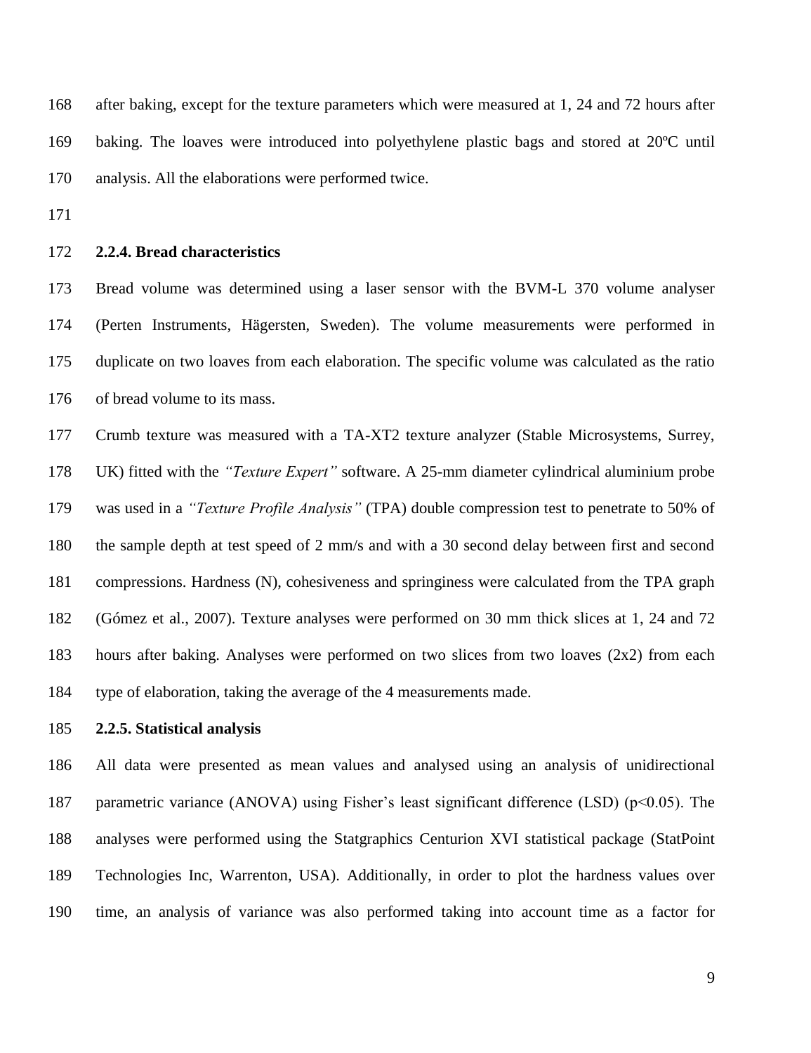after baking, except for the texture parameters which were measured at 1, 24 and 72 hours after baking. The loaves were introduced into polyethylene plastic bags and stored at 20ºC until analysis. All the elaborations were performed twice.

### **2.2.4. Bread characteristics**

 Bread volume was determined using a laser sensor with the BVM-L 370 volume analyser (Perten Instruments, Hägersten, Sweden). The volume measurements were performed in duplicate on two loaves from each elaboration. The specific volume was calculated as the ratio of bread volume to its mass.

 Crumb texture was measured with a TA-XT2 texture analyzer (Stable Microsystems, Surrey, UK) fitted with the *"Texture Expert"* software. A 25-mm diameter cylindrical aluminium probe was used in a *"Texture Profile Analysis"* (TPA) double compression test to penetrate to 50% of the sample depth at test speed of 2 mm/s and with a 30 second delay between first and second compressions. Hardness (N), cohesiveness and springiness were calculated from the TPA graph (Gómez et al., 2007). Texture analyses were performed on 30 mm thick slices at 1, 24 and 72 hours after baking. Analyses were performed on two slices from two loaves (2x2) from each type of elaboration, taking the average of the 4 measurements made.

# **2.2.5. Statistical analysis**

 All data were presented as mean values and analysed using an analysis of unidirectional 187 parametric variance (ANOVA) using Fisher's least significant difference (LSD) (p<0.05). The analyses were performed using the Statgraphics Centurion XVI statistical package (StatPoint Technologies Inc, Warrenton, USA). Additionally, in order to plot the hardness values over time, an analysis of variance was also performed taking into account time as a factor for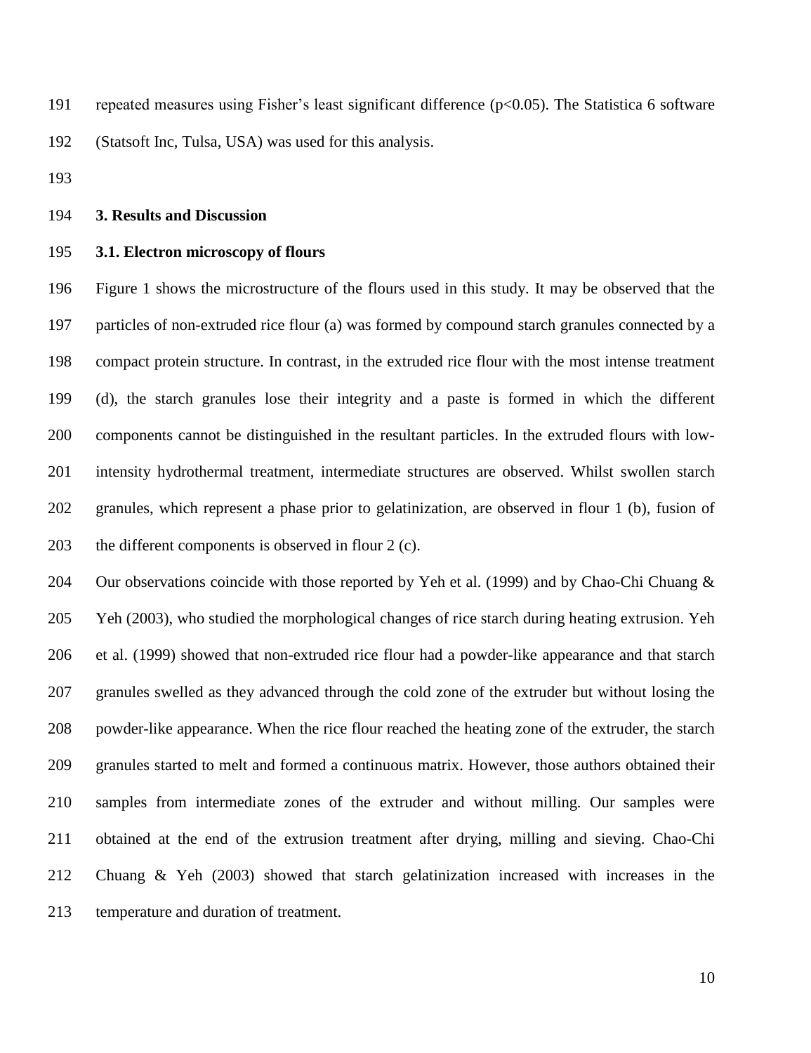repeated measures using Fisher's least significant difference (p<0.05). The Statistica 6 software (Statsoft Inc, Tulsa, USA) was used for this analysis.

#### **3. Results and Discussion**

## **3.1. Electron microscopy of flours**

 Figure 1 shows the microstructure of the flours used in this study. It may be observed that the particles of non-extruded rice flour (a) was formed by compound starch granules connected by a compact protein structure. In contrast, in the extruded rice flour with the most intense treatment (d), the starch granules lose their integrity and a paste is formed in which the different components cannot be distinguished in the resultant particles. In the extruded flours with low- intensity hydrothermal treatment, intermediate structures are observed. Whilst swollen starch granules, which represent a phase prior to gelatinization, are observed in flour 1 (b), fusion of the different components is observed in flour 2 (c).

204 Our observations coincide with those reported by Yeh et al. (1999) and by Chao-Chi Chuang & Yeh (2003), who studied the morphological changes of rice starch during heating extrusion. Yeh et al. (1999) showed that non-extruded rice flour had a powder-like appearance and that starch granules swelled as they advanced through the cold zone of the extruder but without losing the powder-like appearance. When the rice flour reached the heating zone of the extruder, the starch granules started to melt and formed a continuous matrix. However, those authors obtained their samples from intermediate zones of the extruder and without milling. Our samples were obtained at the end of the extrusion treatment after drying, milling and sieving. Chao-Chi Chuang & Yeh (2003) showed that starch gelatinization increased with increases in the temperature and duration of treatment.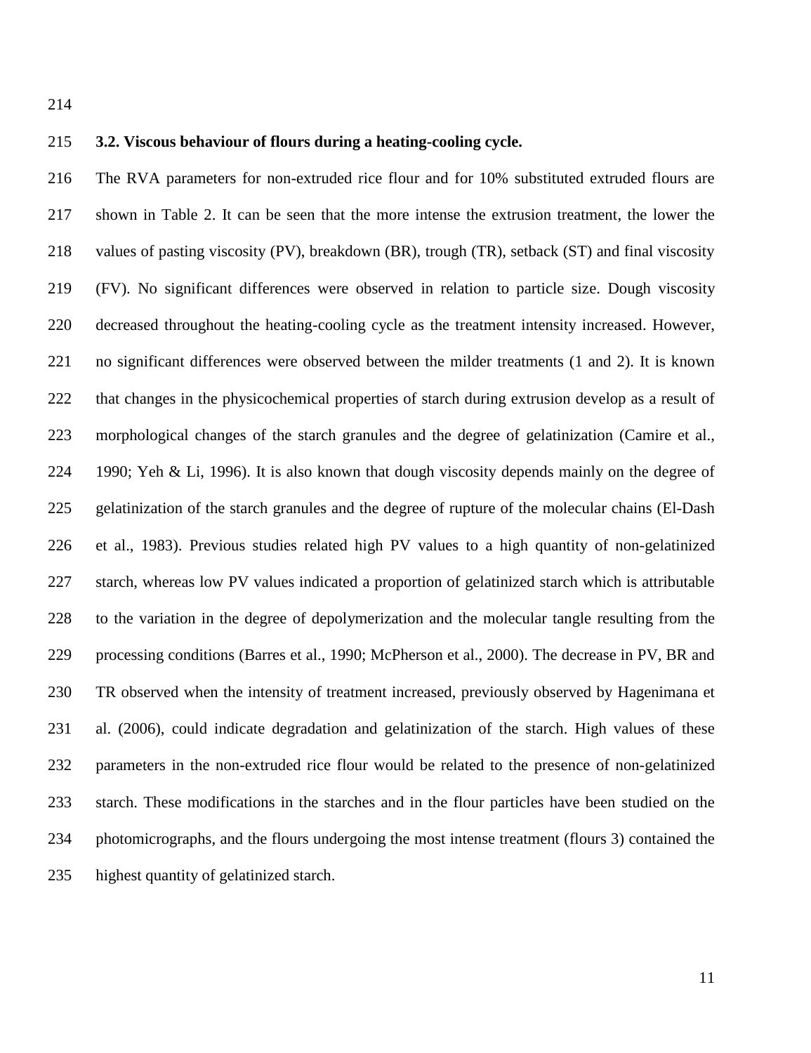## **3.2. Viscous behaviour of flours during a heating-cooling cycle.**

 The RVA parameters for non-extruded rice flour and for 10% substituted extruded flours are shown in Table 2. It can be seen that the more intense the extrusion treatment, the lower the values of pasting viscosity (PV), breakdown (BR), trough (TR), setback (ST) and final viscosity (FV). No significant differences were observed in relation to particle size. Dough viscosity decreased throughout the heating-cooling cycle as the treatment intensity increased. However, no significant differences were observed between the milder treatments (1 and 2). It is known that changes in the physicochemical properties of starch during extrusion develop as a result of morphological changes of the starch granules and the degree of gelatinization (Camire et al., 1990; Yeh & Li, 1996). It is also known that dough viscosity depends mainly on the degree of gelatinization of the starch granules and the degree of rupture of the molecular chains (El-Dash et al., 1983). Previous studies related high PV values to a high quantity of non-gelatinized starch, whereas low PV values indicated a proportion of gelatinized starch which is attributable to the variation in the degree of depolymerization and the molecular tangle resulting from the processing conditions (Barres et al., 1990; McPherson et al., 2000). The decrease in PV, BR and TR observed when the intensity of treatment increased, previously observed by Hagenimana et al. (2006), could indicate degradation and gelatinization of the starch. High values of these parameters in the non-extruded rice flour would be related to the presence of non-gelatinized starch. These modifications in the starches and in the flour particles have been studied on the photomicrographs, and the flours undergoing the most intense treatment (flours 3) contained the highest quantity of gelatinized starch.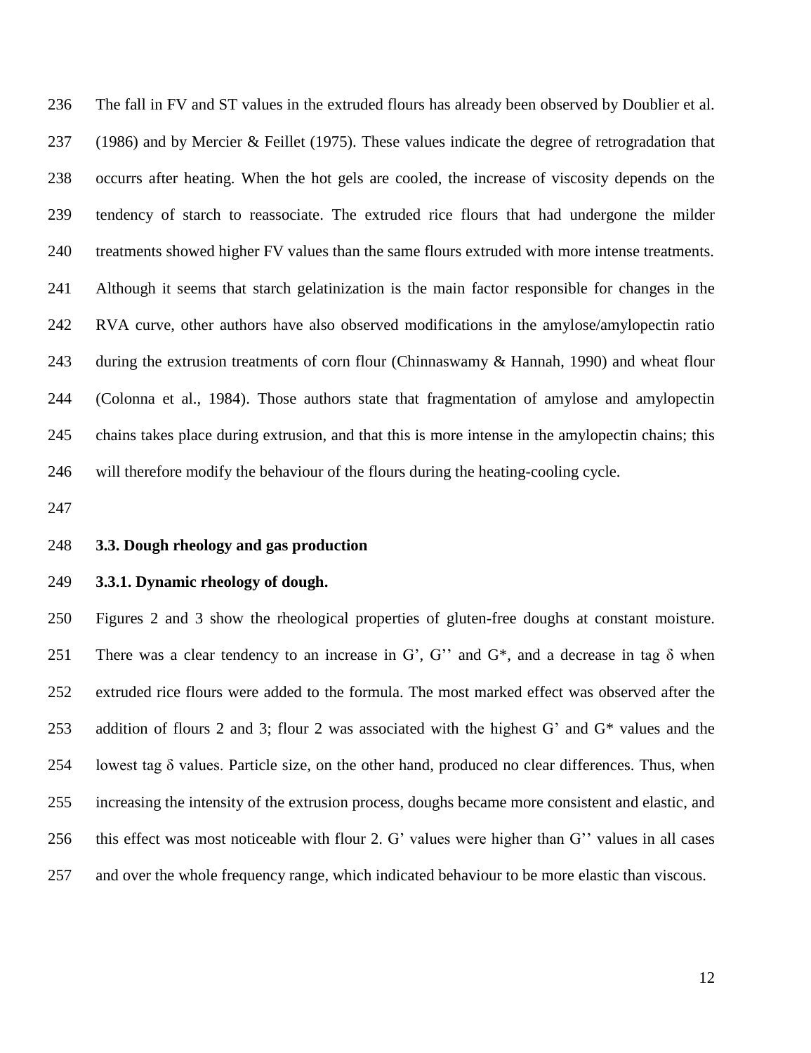The fall in FV and ST values in the extruded flours has already been observed by Doublier et al. (1986) and by Mercier & Feillet (1975). These values indicate the degree of retrogradation that occurrs after heating. When the hot gels are cooled, the increase of viscosity depends on the tendency of starch to reassociate. The extruded rice flours that had undergone the milder treatments showed higher FV values than the same flours extruded with more intense treatments. Although it seems that starch gelatinization is the main factor responsible for changes in the RVA curve, other authors have also observed modifications in the amylose/amylopectin ratio during the extrusion treatments of corn flour (Chinnaswamy & Hannah, 1990) and wheat flour (Colonna et al., 1984). Those authors state that fragmentation of amylose and amylopectin chains takes place during extrusion, and that this is more intense in the amylopectin chains; this will therefore modify the behaviour of the flours during the heating-cooling cycle.

## **3.3. Dough rheology and gas production**

### **3.3.1. Dynamic rheology of dough.**

 Figures 2 and 3 show the rheological properties of gluten-free doughs at constant moisture. 251 There was a clear tendency to an increase in G', G'' and G\*, and a decrease in tag  $\delta$  when extruded rice flours were added to the formula. The most marked effect was observed after the addition of flours 2 and 3; flour 2 was associated with the highest G' and G\* values and the lowest tag δ values. Particle size, on the other hand, produced no clear differences. Thus, when increasing the intensity of the extrusion process, doughs became more consistent and elastic, and this effect was most noticeable with flour 2. G' values were higher than G'' values in all cases and over the whole frequency range, which indicated behaviour to be more elastic than viscous.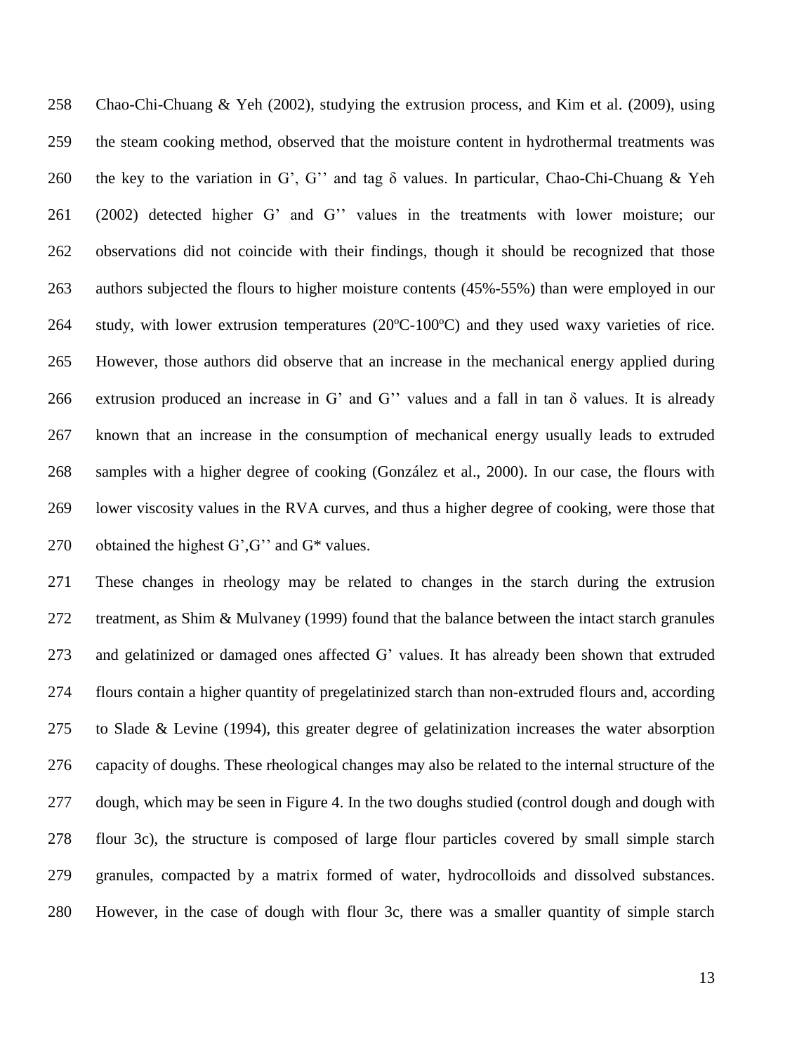Chao-Chi-Chuang & Yeh (2002), studying the extrusion process, and Kim et al. (2009), using the steam cooking method, observed that the moisture content in hydrothermal treatments was the key to the variation in G', G'' and tag δ values. In particular, Chao-Chi-Chuang & Yeh (2002) detected higher G' and G'' values in the treatments with lower moisture; our observations did not coincide with their findings, though it should be recognized that those authors subjected the flours to higher moisture contents (45%-55%) than were employed in our study, with lower extrusion temperatures (20ºC-100ºC) and they used waxy varieties of rice. However, those authors did observe that an increase in the mechanical energy applied during extrusion produced an increase in G' and G'' values and a fall in tan δ values. It is already known that an increase in the consumption of mechanical energy usually leads to extruded samples with a higher degree of cooking (González et al., 2000). In our case, the flours with lower viscosity values in the RVA curves, and thus a higher degree of cooking, were those that obtained the highest G',G'' and G\* values.

 These changes in rheology may be related to changes in the starch during the extrusion 272 treatment, as Shim & Mulvaney (1999) found that the balance between the intact starch granules and gelatinized or damaged ones affected G' values. It has already been shown that extruded flours contain a higher quantity of pregelatinized starch than non-extruded flours and, according to Slade & Levine (1994), this greater degree of gelatinization increases the water absorption capacity of doughs. These rheological changes may also be related to the internal structure of the dough, which may be seen in Figure 4. In the two doughs studied (control dough and dough with flour 3c), the structure is composed of large flour particles covered by small simple starch granules, compacted by a matrix formed of water, hydrocolloids and dissolved substances. However, in the case of dough with flour 3c, there was a smaller quantity of simple starch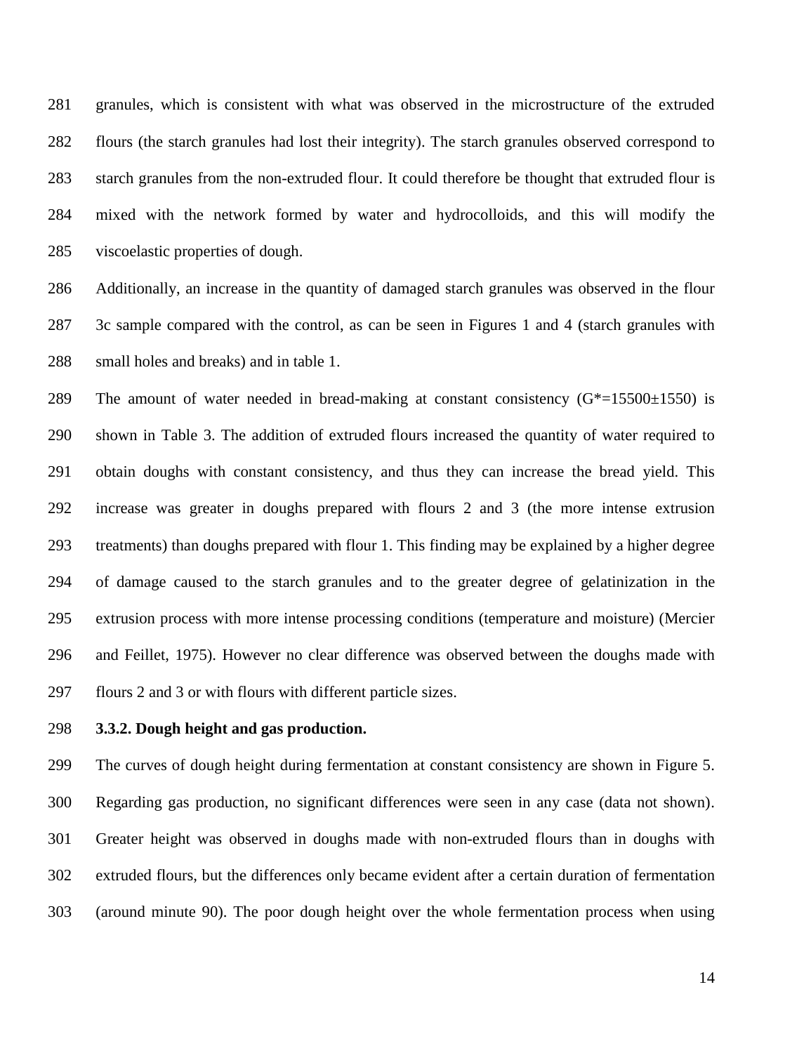granules, which is consistent with what was observed in the microstructure of the extruded flours (the starch granules had lost their integrity). The starch granules observed correspond to starch granules from the non-extruded flour. It could therefore be thought that extruded flour is mixed with the network formed by water and hydrocolloids, and this will modify the viscoelastic properties of dough.

 Additionally, an increase in the quantity of damaged starch granules was observed in the flour 3c sample compared with the control, as can be seen in Figures 1 and 4 (starch granules with small holes and breaks) and in table 1.

289 The amount of water needed in bread-making at constant consistency  $(G^*=15500\pm1550)$  is shown in Table 3. The addition of extruded flours increased the quantity of water required to obtain doughs with constant consistency, and thus they can increase the bread yield. This increase was greater in doughs prepared with flours 2 and 3 (the more intense extrusion treatments) than doughs prepared with flour 1. This finding may be explained by a higher degree of damage caused to the starch granules and to the greater degree of gelatinization in the extrusion process with more intense processing conditions (temperature and moisture) (Mercier and Feillet, 1975). However no clear difference was observed between the doughs made with flours 2 and 3 or with flours with different particle sizes.

# **3.3.2. Dough height and gas production.**

 The curves of dough height during fermentation at constant consistency are shown in Figure 5. Regarding gas production, no significant differences were seen in any case (data not shown). Greater height was observed in doughs made with non-extruded flours than in doughs with extruded flours, but the differences only became evident after a certain duration of fermentation (around minute 90). The poor dough height over the whole fermentation process when using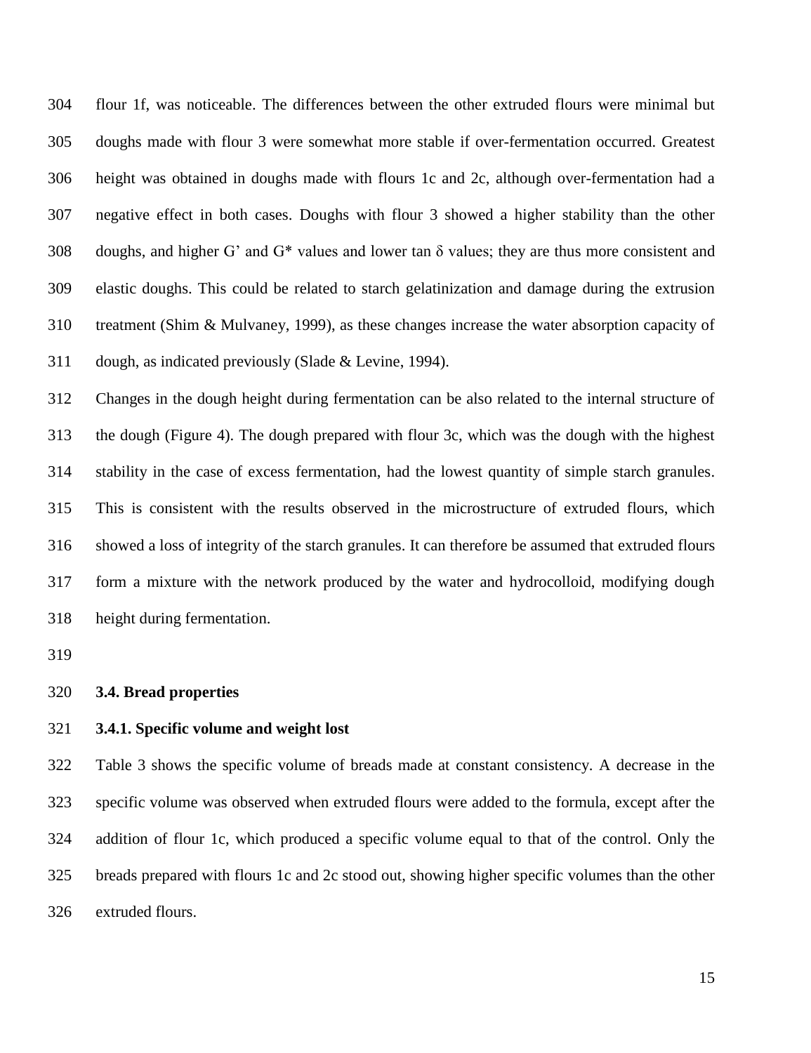flour 1f, was noticeable. The differences between the other extruded flours were minimal but doughs made with flour 3 were somewhat more stable if over-fermentation occurred. Greatest height was obtained in doughs made with flours 1c and 2c, although over-fermentation had a negative effect in both cases. Doughs with flour 3 showed a higher stability than the other doughs, and higher G' and G\* values and lower tan δ values; they are thus more consistent and elastic doughs. This could be related to starch gelatinization and damage during the extrusion treatment (Shim & Mulvaney, 1999), as these changes increase the water absorption capacity of dough, as indicated previously (Slade & Levine, 1994).

 Changes in the dough height during fermentation can be also related to the internal structure of the dough (Figure 4). The dough prepared with flour 3c, which was the dough with the highest stability in the case of excess fermentation, had the lowest quantity of simple starch granules. This is consistent with the results observed in the microstructure of extruded flours, which showed a loss of integrity of the starch granules. It can therefore be assumed that extruded flours form a mixture with the network produced by the water and hydrocolloid, modifying dough height during fermentation.

#### **3.4. Bread properties**

# **3.4.1. Specific volume and weight lost**

 Table 3 shows the specific volume of breads made at constant consistency. A decrease in the specific volume was observed when extruded flours were added to the formula, except after the addition of flour 1c, which produced a specific volume equal to that of the control. Only the breads prepared with flours 1c and 2c stood out, showing higher specific volumes than the other extruded flours.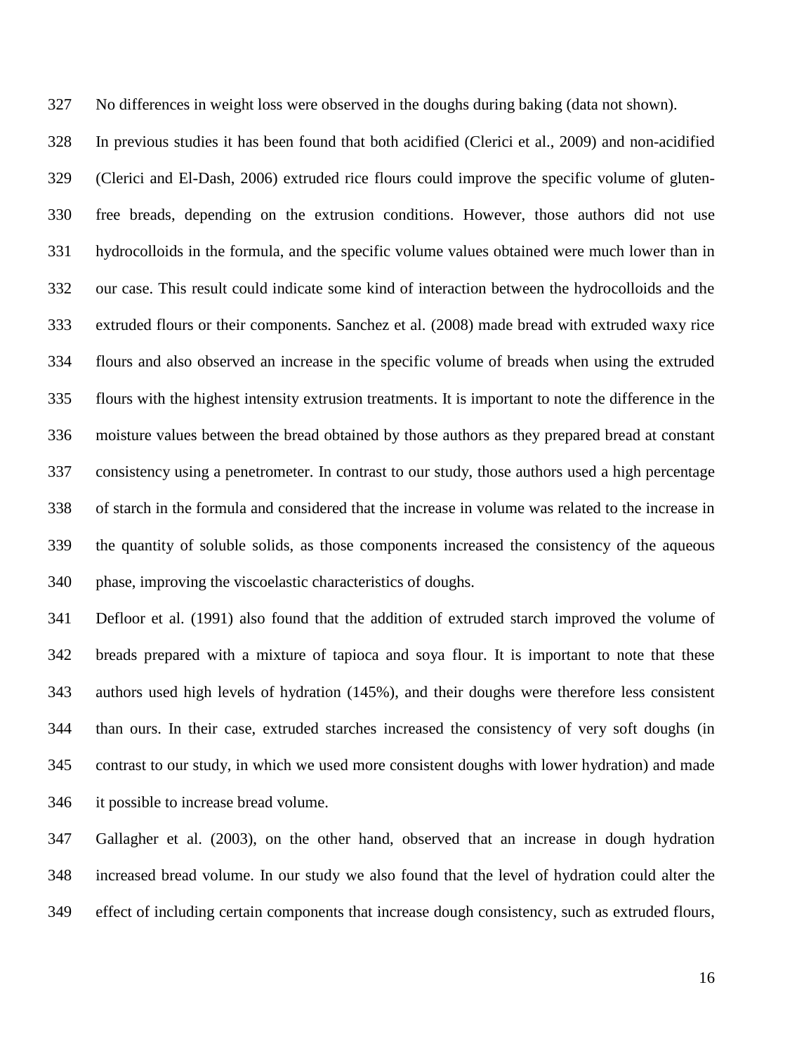No differences in weight loss were observed in the doughs during baking (data not shown).

 In previous studies it has been found that both acidified (Clerici et al., 2009) and non-acidified (Clerici and El-Dash, 2006) extruded rice flours could improve the specific volume of gluten- free breads, depending on the extrusion conditions. However, those authors did not use hydrocolloids in the formula, and the specific volume values obtained were much lower than in our case. This result could indicate some kind of interaction between the hydrocolloids and the extruded flours or their components. Sanchez et al. (2008) made bread with extruded waxy rice flours and also observed an increase in the specific volume of breads when using the extruded flours with the highest intensity extrusion treatments. It is important to note the difference in the moisture values between the bread obtained by those authors as they prepared bread at constant consistency using a penetrometer. In contrast to our study, those authors used a high percentage of starch in the formula and considered that the increase in volume was related to the increase in the quantity of soluble solids, as those components increased the consistency of the aqueous phase, improving the viscoelastic characteristics of doughs.

 Defloor et al. (1991) also found that the addition of extruded starch improved the volume of breads prepared with a mixture of tapioca and soya flour. It is important to note that these authors used high levels of hydration (145%), and their doughs were therefore less consistent than ours. In their case, extruded starches increased the consistency of very soft doughs (in contrast to our study, in which we used more consistent doughs with lower hydration) and made it possible to increase bread volume.

 Gallagher et al. (2003), on the other hand, observed that an increase in dough hydration increased bread volume. In our study we also found that the level of hydration could alter the effect of including certain components that increase dough consistency, such as extruded flours,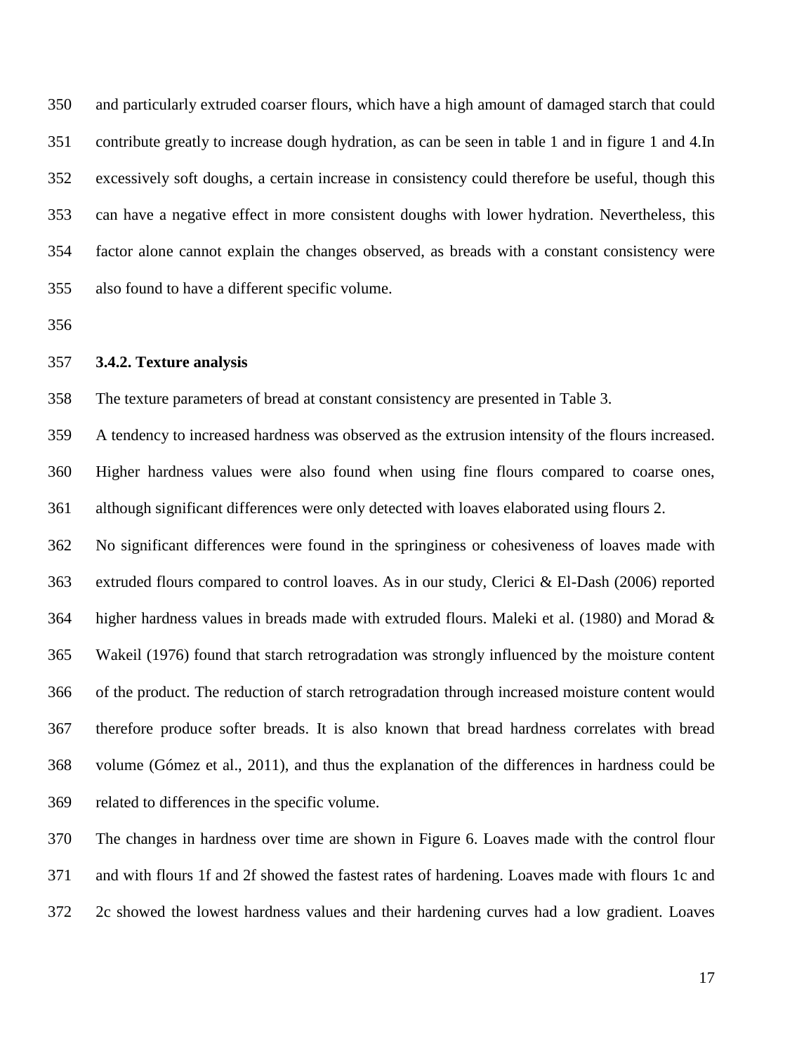and particularly extruded coarser flours, which have a high amount of damaged starch that could contribute greatly to increase dough hydration, as can be seen in table 1 and in figure 1 and 4.In excessively soft doughs, a certain increase in consistency could therefore be useful, though this can have a negative effect in more consistent doughs with lower hydration. Nevertheless, this factor alone cannot explain the changes observed, as breads with a constant consistency were also found to have a different specific volume.

#### **3.4.2. Texture analysis**

The texture parameters of bread at constant consistency are presented in Table 3.

 A tendency to increased hardness was observed as the extrusion intensity of the flours increased. Higher hardness values were also found when using fine flours compared to coarse ones, although significant differences were only detected with loaves elaborated using flours 2.

 No significant differences were found in the springiness or cohesiveness of loaves made with extruded flours compared to control loaves. As in our study, Clerici & El-Dash (2006) reported higher hardness values in breads made with extruded flours. Maleki et al. (1980) and Morad & Wakeil (1976) found that starch retrogradation was strongly influenced by the moisture content of the product. The reduction of starch retrogradation through increased moisture content would therefore produce softer breads. It is also known that bread hardness correlates with bread volume (Gómez et al., 2011), and thus the explanation of the differences in hardness could be related to differences in the specific volume.

 The changes in hardness over time are shown in Figure 6. Loaves made with the control flour and with flours 1f and 2f showed the fastest rates of hardening. Loaves made with flours 1c and 2c showed the lowest hardness values and their hardening curves had a low gradient. Loaves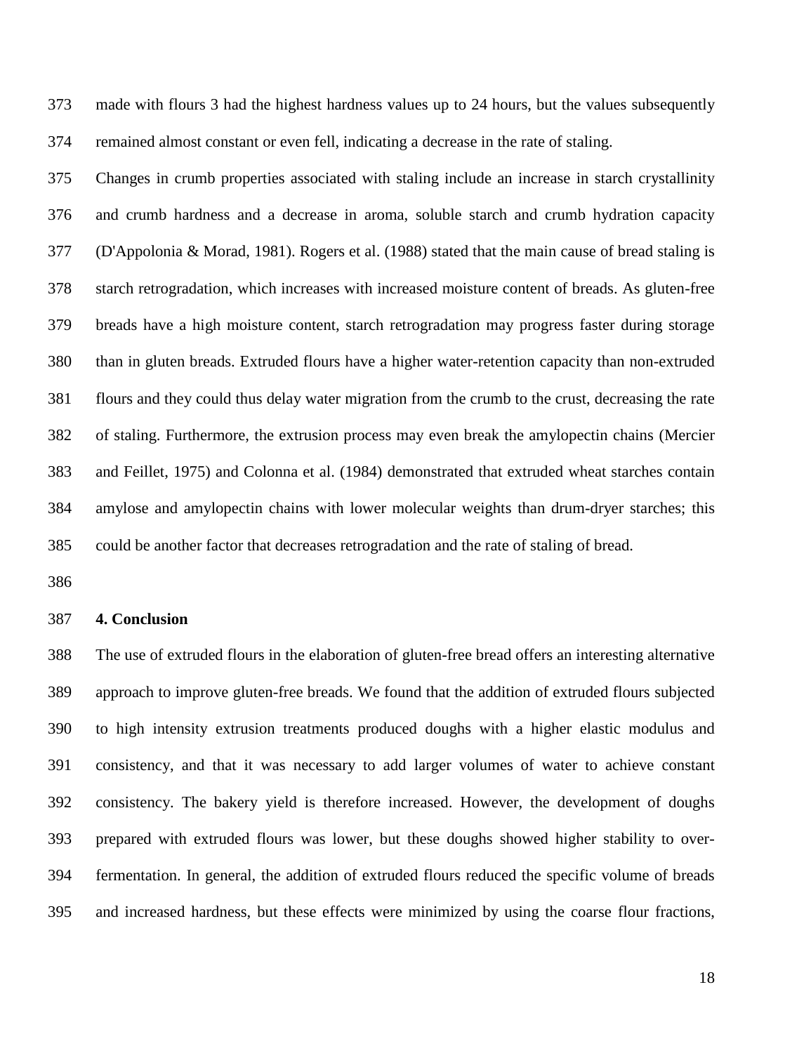made with flours 3 had the highest hardness values up to 24 hours, but the values subsequently remained almost constant or even fell, indicating a decrease in the rate of staling.

 Changes in crumb properties associated with staling include an increase in starch crystallinity and crumb hardness and a decrease in aroma, soluble starch and crumb hydration capacity (D'Appolonia & Morad, 1981). Rogers et al. (1988) stated that the main cause of bread staling is starch retrogradation, which increases with increased moisture content of breads. As gluten-free breads have a high moisture content, starch retrogradation may progress faster during storage than in gluten breads. Extruded flours have a higher water-retention capacity than non-extruded flours and they could thus delay water migration from the crumb to the crust, decreasing the rate of staling. Furthermore, the extrusion process may even break the amylopectin chains (Mercier and Feillet, 1975) and Colonna et al. (1984) demonstrated that extruded wheat starches contain amylose and amylopectin chains with lower molecular weights than drum-dryer starches; this could be another factor that decreases retrogradation and the rate of staling of bread.

### **4. Conclusion**

 The use of extruded flours in the elaboration of gluten-free bread offers an interesting alternative approach to improve gluten-free breads. We found that the addition of extruded flours subjected to high intensity extrusion treatments produced doughs with a higher elastic modulus and consistency, and that it was necessary to add larger volumes of water to achieve constant consistency. The bakery yield is therefore increased. However, the development of doughs prepared with extruded flours was lower, but these doughs showed higher stability to over- fermentation. In general, the addition of extruded flours reduced the specific volume of breads and increased hardness, but these effects were minimized by using the coarse flour fractions,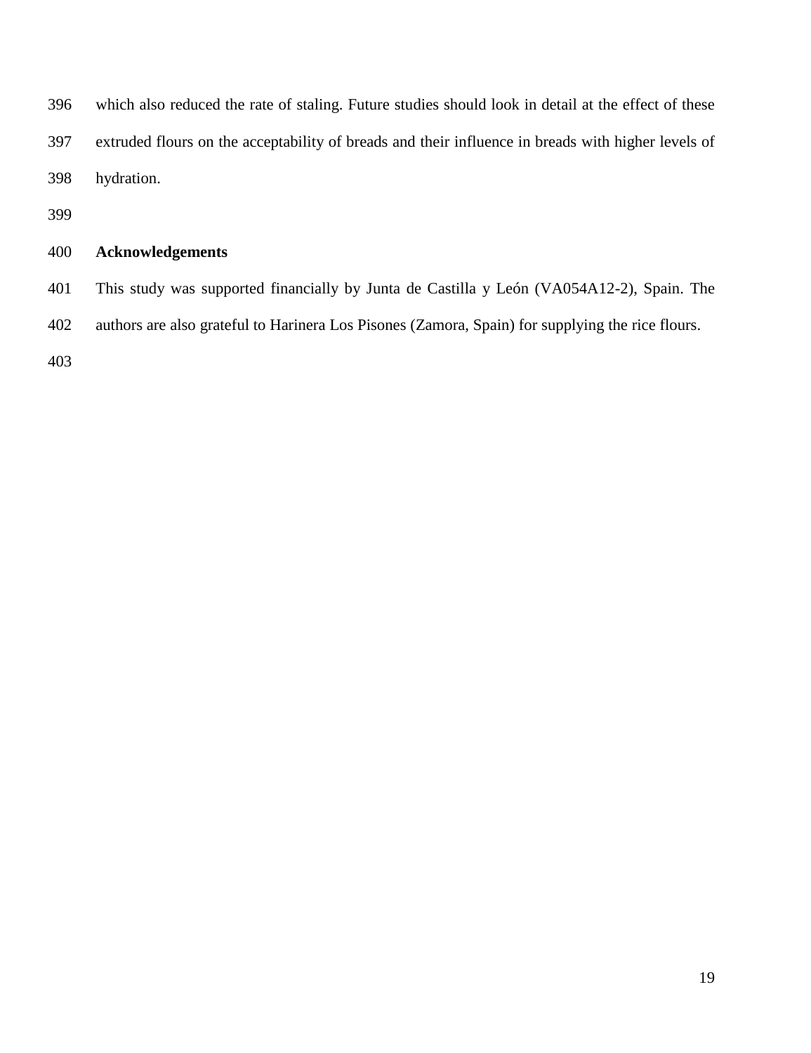which also reduced the rate of staling. Future studies should look in detail at the effect of these extruded flours on the acceptability of breads and their influence in breads with higher levels of hydration.

# **Acknowledgements**

 This study was supported financially by Junta de Castilla y León (VA054A12-2), Spain. The authors are also grateful to Harinera Los Pisones (Zamora, Spain) for supplying the rice flours.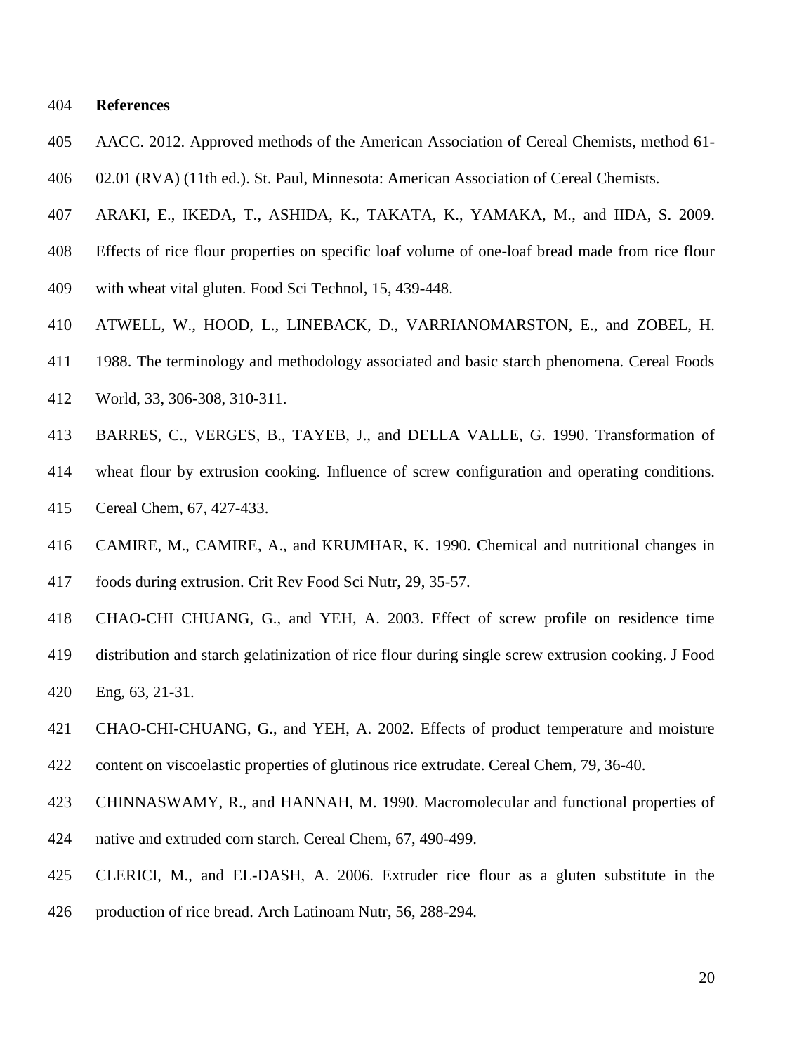**References**

- AACC. 2012. Approved methods of the American Association of Cereal Chemists, method 61-
- 02.01 (RVA) (11th ed.). St. Paul, Minnesota: American Association of Cereal Chemists.
- ARAKI, E., IKEDA, T., ASHIDA, K., TAKATA, K., YAMAKA, M., and IIDA, S. 2009.
- Effects of rice flour properties on specific loaf volume of one-loaf bread made from rice flour
- with wheat vital gluten. Food Sci Technol, 15, 439-448.
- ATWELL, W., HOOD, L., LINEBACK, D., VARRIANOMARSTON, E., and ZOBEL, H.
- 1988. The terminology and methodology associated and basic starch phenomena. Cereal Foods World, 33, 306-308, 310-311.
- BARRES, C., VERGES, B., TAYEB, J., and DELLA VALLE, G. 1990. Transformation of
- wheat flour by extrusion cooking. Influence of screw configuration and operating conditions. Cereal Chem, 67, 427-433.
- CAMIRE, M., CAMIRE, A., and KRUMHAR, K. 1990. Chemical and nutritional changes in foods during extrusion. Crit Rev Food Sci Nutr, 29, 35-57.
- CHAO-CHI CHUANG, G., and YEH, A. 2003. Effect of screw profile on residence time
- distribution and starch gelatinization of rice flour during single screw extrusion cooking. J Food Eng, 63, 21-31.
- CHAO-CHI-CHUANG, G., and YEH, A. 2002. Effects of product temperature and moisture content on viscoelastic properties of glutinous rice extrudate. Cereal Chem, 79, 36-40.
- CHINNASWAMY, R., and HANNAH, M. 1990. Macromolecular and functional properties of
- native and extruded corn starch. Cereal Chem, 67, 490-499.
- CLERICI, M., and EL-DASH, A. 2006. Extruder rice flour as a gluten substitute in the
- production of rice bread. Arch Latinoam Nutr, 56, 288-294.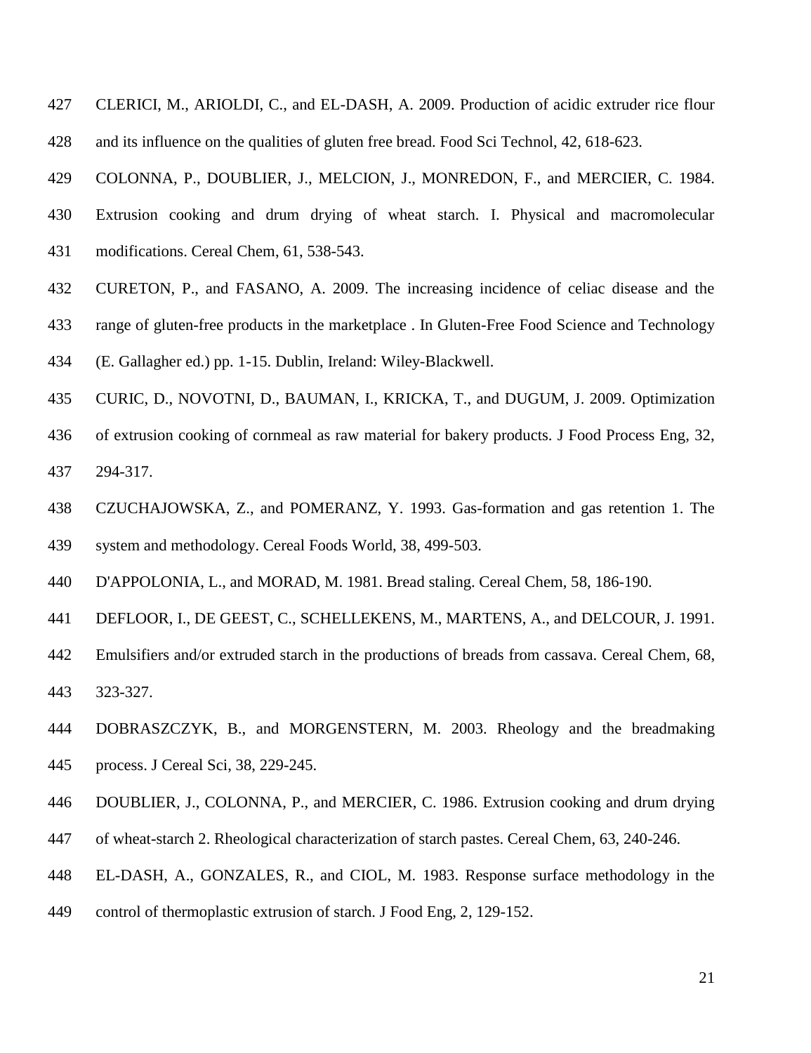CLERICI, M., ARIOLDI, C., and EL-DASH, A. 2009. Production of acidic extruder rice flour and its influence on the qualities of gluten free bread. Food Sci Technol, 42, 618-623.

COLONNA, P., DOUBLIER, J., MELCION, J., MONREDON, F., and MERCIER, C. 1984.

- Extrusion cooking and drum drying of wheat starch. I. Physical and macromolecular
- modifications. Cereal Chem, 61, 538-543.
- CURETON, P., and FASANO, A. 2009. The increasing incidence of celiac disease and the
- range of gluten-free products in the marketplace . In Gluten-Free Food Science and Technology
- (E. Gallagher ed.) pp. 1-15. Dublin, Ireland: Wiley-Blackwell.
- CURIC, D., NOVOTNI, D., BAUMAN, I., KRICKA, T., and DUGUM, J. 2009. Optimization
- of extrusion cooking of cornmeal as raw material for bakery products. J Food Process Eng, 32, 294-317.
- CZUCHAJOWSKA, Z., and POMERANZ, Y. 1993. Gas-formation and gas retention 1. The system and methodology. Cereal Foods World, 38, 499-503.
- D'APPOLONIA, L., and MORAD, M. 1981. Bread staling. Cereal Chem, 58, 186-190.
- DEFLOOR, I., DE GEEST, C., SCHELLEKENS, M., MARTENS, A., and DELCOUR, J. 1991.
- Emulsifiers and/or extruded starch in the productions of breads from cassava. Cereal Chem, 68, 323-327.
- DOBRASZCZYK, B., and MORGENSTERN, M. 2003. Rheology and the breadmaking process. J Cereal Sci, 38, 229-245.
- DOUBLIER, J., COLONNA, P., and MERCIER, C. 1986. Extrusion cooking and drum drying
- of wheat-starch 2. Rheological characterization of starch pastes. Cereal Chem, 63, 240-246.
- EL-DASH, A., GONZALES, R., and CIOL, M. 1983. Response surface methodology in the
- control of thermoplastic extrusion of starch. J Food Eng, 2, 129-152.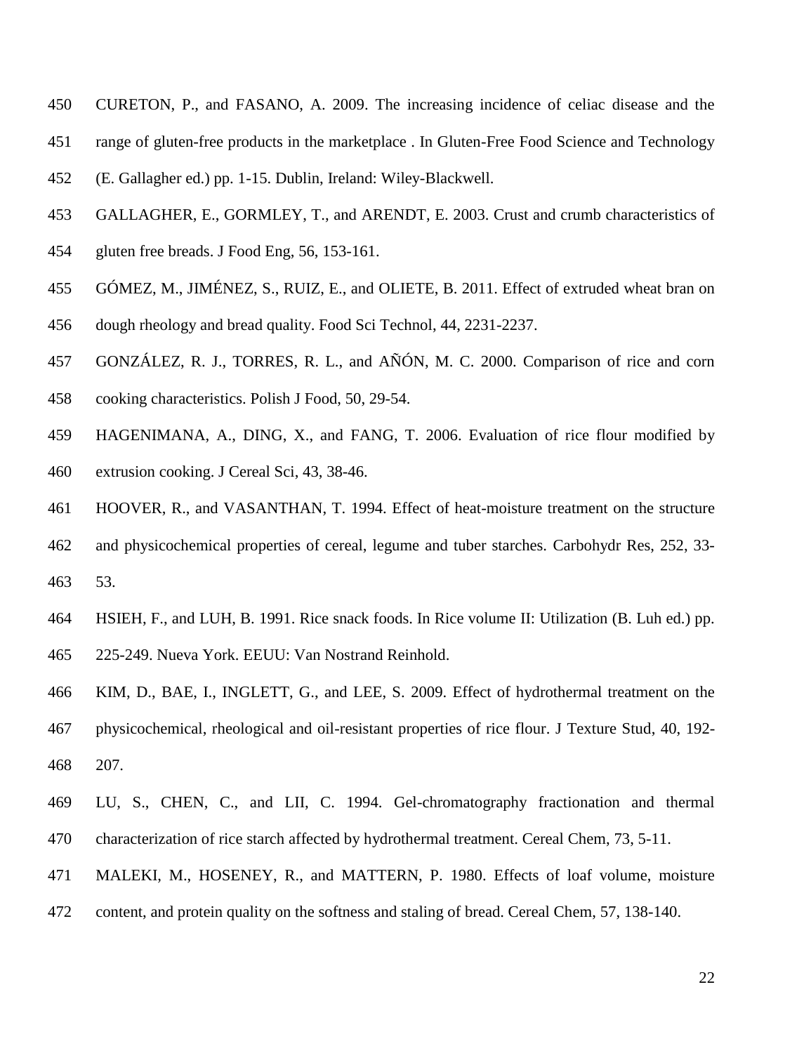- CURETON, P., and FASANO, A. 2009. The increasing incidence of celiac disease and the
- range of gluten-free products in the marketplace . In Gluten-Free Food Science and Technology
- (E. Gallagher ed.) pp. 1-15. Dublin, Ireland: Wiley-Blackwell.
- GALLAGHER, E., GORMLEY, T., and ARENDT, E. 2003. Crust and crumb characteristics of
- gluten free breads. J Food Eng, 56, 153-161.
- GÓMEZ, M., JIMÉNEZ, S., RUIZ, E., and OLIETE, B. 2011. Effect of extruded wheat bran on
- dough rheology and bread quality. Food Sci Technol, 44, 2231-2237.
- GONZÁLEZ, R. J., TORRES, R. L., and AÑÓN, M. C. 2000. Comparison of rice and corn
- cooking characteristics. Polish J Food, 50, 29-54.
- HAGENIMANA, A., DING, X., and FANG, T. 2006. Evaluation of rice flour modified by extrusion cooking. J Cereal Sci, 43, 38-46.
- HOOVER, R., and VASANTHAN, T. 1994. Effect of heat-moisture treatment on the structure and physicochemical properties of cereal, legume and tuber starches. Carbohydr Res, 252, 33-
- 53.
- HSIEH, F., and LUH, B. 1991. Rice snack foods. In Rice volume II: Utilization (B. Luh ed.) pp. 225-249. Nueva York. EEUU: Van Nostrand Reinhold.
- KIM, D., BAE, I., INGLETT, G., and LEE, S. 2009. Effect of hydrothermal treatment on the physicochemical, rheological and oil-resistant properties of rice flour. J Texture Stud, 40, 192- 207.
- LU, S., CHEN, C., and LII, C. 1994. Gel-chromatography fractionation and thermal characterization of rice starch affected by hydrothermal treatment. Cereal Chem, 73, 5-11.
- MALEKI, M., HOSENEY, R., and MATTERN, P. 1980. Effects of loaf volume, moisture
- content, and protein quality on the softness and staling of bread. Cereal Chem, 57, 138-140.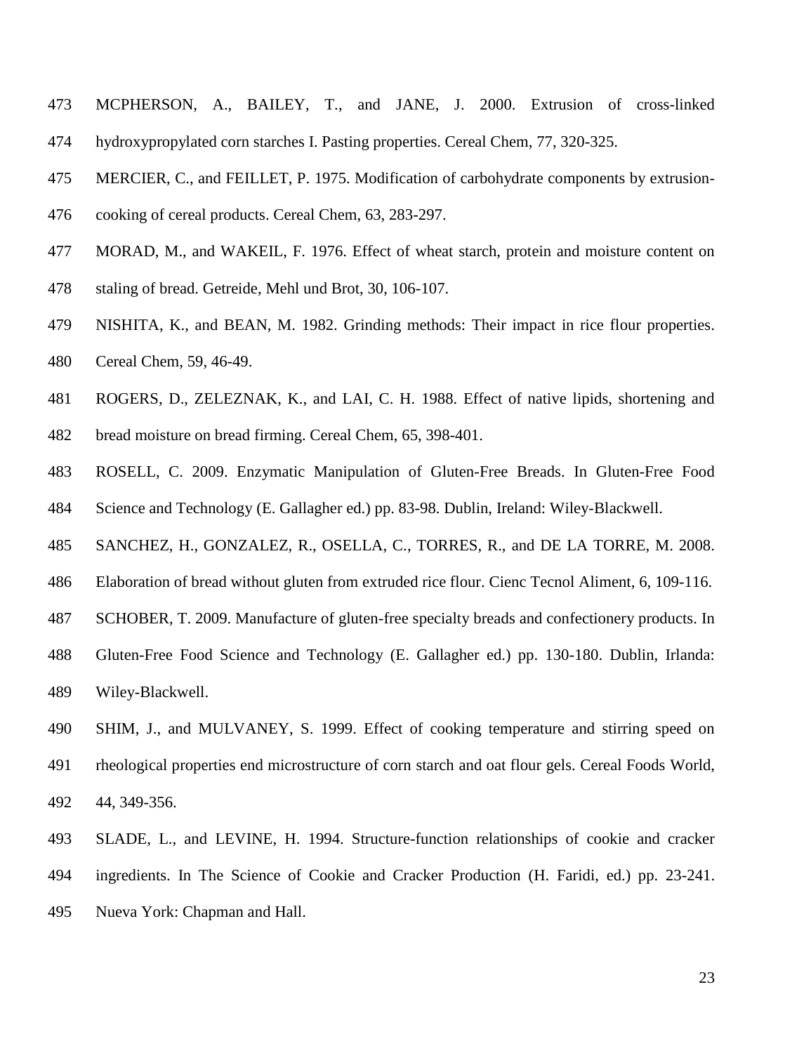- MCPHERSON, A., BAILEY, T., and JANE, J. 2000. Extrusion of cross-linked hydroxypropylated corn starches I. Pasting properties. Cereal Chem, 77, 320-325.
- MERCIER, C., and FEILLET, P. 1975. Modification of carbohydrate components by extrusion-
- cooking of cereal products. Cereal Chem, 63, 283-297.
- MORAD, M., and WAKEIL, F. 1976. Effect of wheat starch, protein and moisture content on
- staling of bread. Getreide, Mehl und Brot, 30, 106-107.
- NISHITA, K., and BEAN, M. 1982. Grinding methods: Their impact in rice flour properties. Cereal Chem, 59, 46-49.
- ROGERS, D., ZELEZNAK, K., and LAI, C. H. 1988. Effect of native lipids, shortening and
- bread moisture on bread firming. Cereal Chem, 65, 398-401.
- ROSELL, C. 2009. Enzymatic Manipulation of Gluten-Free Breads. In Gluten-Free Food Science and Technology (E. Gallagher ed.) pp. 83-98. Dublin, Ireland: Wiley-Blackwell.
- SANCHEZ, H., GONZALEZ, R., OSELLA, C., TORRES, R., and DE LA TORRE, M. 2008.
- Elaboration of bread without gluten from extruded rice flour. Cienc Tecnol Aliment, 6, 109-116.
- SCHOBER, T. 2009. Manufacture of gluten-free specialty breads and confectionery products. In
- Gluten-Free Food Science and Technology (E. Gallagher ed.) pp. 130-180. Dublin, Irlanda: Wiley-Blackwell.
- SHIM, J., and MULVANEY, S. 1999. Effect of cooking temperature and stirring speed on rheological properties end microstructure of corn starch and oat flour gels. Cereal Foods World, 44, 349-356.
- SLADE, L., and LEVINE, H. 1994. Structure-function relationships of cookie and cracker ingredients. In The Science of Cookie and Cracker Production (H. Faridi, ed.) pp. 23-241.
- Nueva York: Chapman and Hall.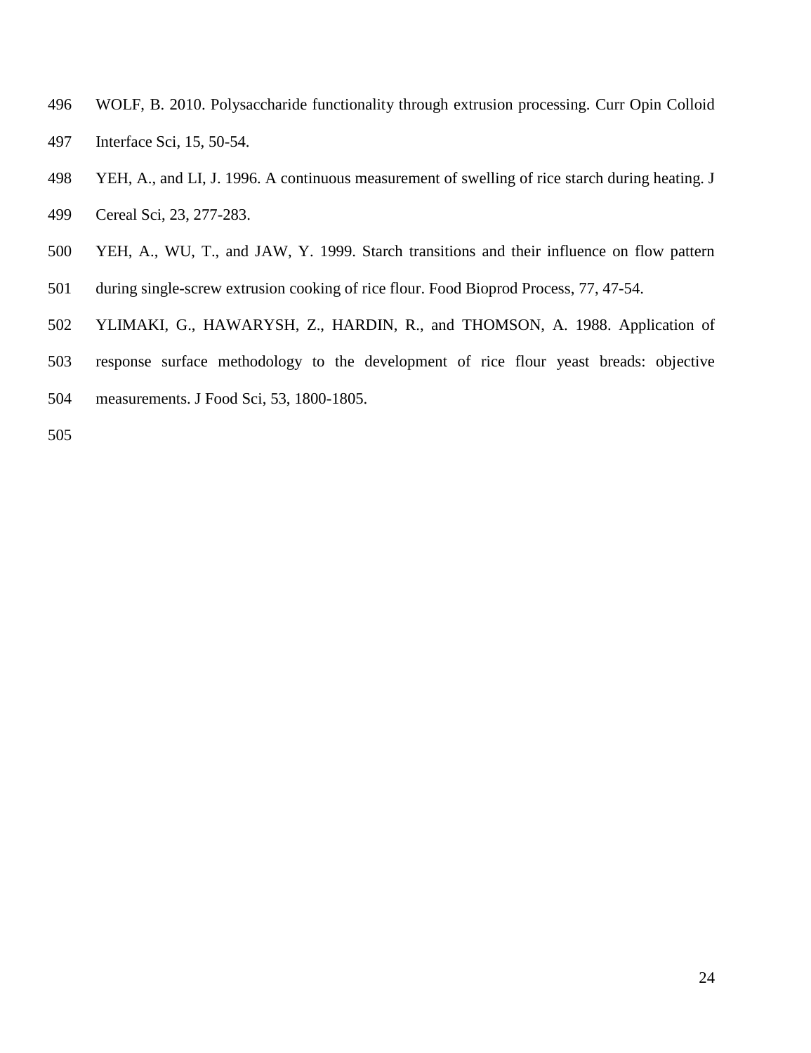- WOLF, B. 2010. Polysaccharide functionality through extrusion processing. Curr Opin Colloid
- Interface Sci, 15, 50-54.
- YEH, A., and LI, J. 1996. A continuous measurement of swelling of rice starch during heating. J
- Cereal Sci, 23, 277-283.
- YEH, A., WU, T., and JAW, Y. 1999. Starch transitions and their influence on flow pattern
- during single-screw extrusion cooking of rice flour. Food Bioprod Process, 77, 47-54.
- YLIMAKI, G., HAWARYSH, Z., HARDIN, R., and THOMSON, A. 1988. Application of
- response surface methodology to the development of rice flour yeast breads: objective
- measurements. J Food Sci, 53, 1800-1805.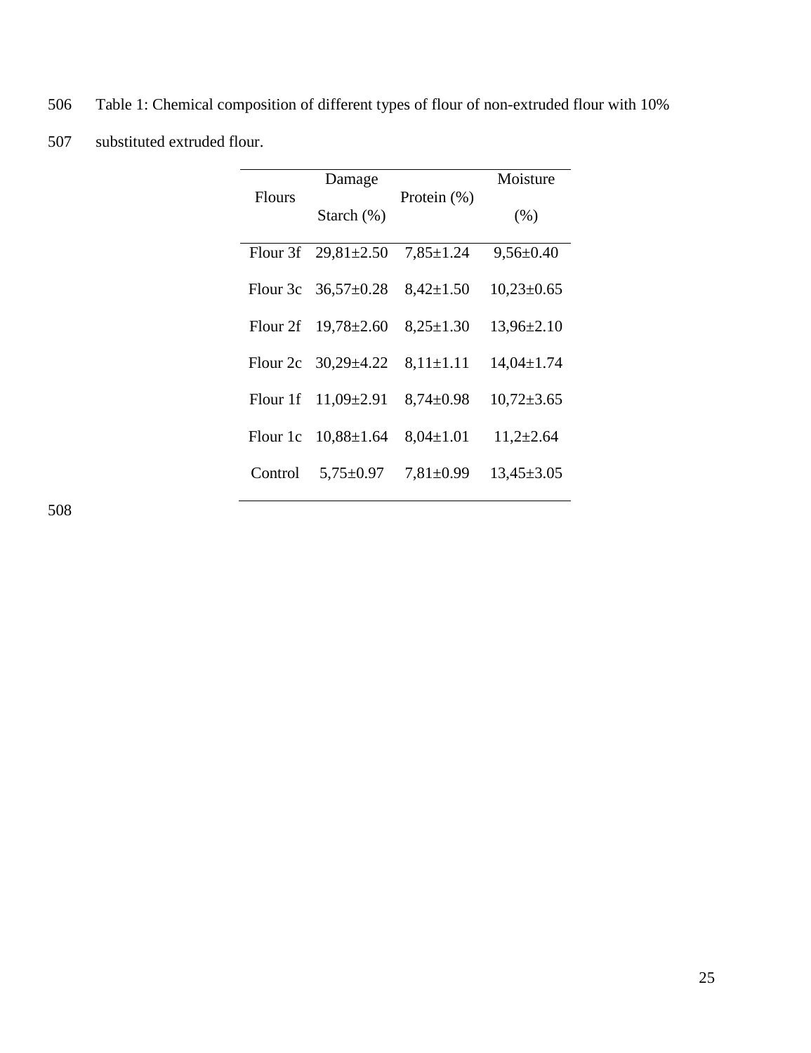| 506 | Table 1: Chemical composition of different types of flour of non-extruded flour with 10% |
|-----|------------------------------------------------------------------------------------------|
| 507 | substituted extruded flour.                                                              |

|               | Damage                    |                 | Moisture         |
|---------------|---------------------------|-----------------|------------------|
| <b>Flours</b> | Starch $(\%)$             | Protein $(\%)$  | (% )             |
|               | Flour 3f $29,81 \pm 2.50$ | $7,85 \pm 1.24$ | $9,56 \pm 0.40$  |
|               | Flour 3c $36,57\pm0.28$   | $8,42 \pm 1.50$ | $10,23\pm0.65$   |
|               | Flour 2f $19,78\pm2.60$   | $8,25 \pm 1.30$ | $13,96\pm2.10$   |
| Flour 2c      | $30,29 \pm 4.22$          | $8,11\pm1.11$   | $14,04 \pm 1.74$ |
|               | Flour 1f $11,09\pm2.91$   | $8,74\pm0.98$   | $10,72 \pm 3.65$ |
| Flour 1c      | $10,88 \pm 1.64$          | $8,04 \pm 1.01$ | $11,2{\pm}2.64$  |
| Control       | $5,75 \pm 0.97$           | $7,81 \pm 0.99$ | $13,45 \pm 3.05$ |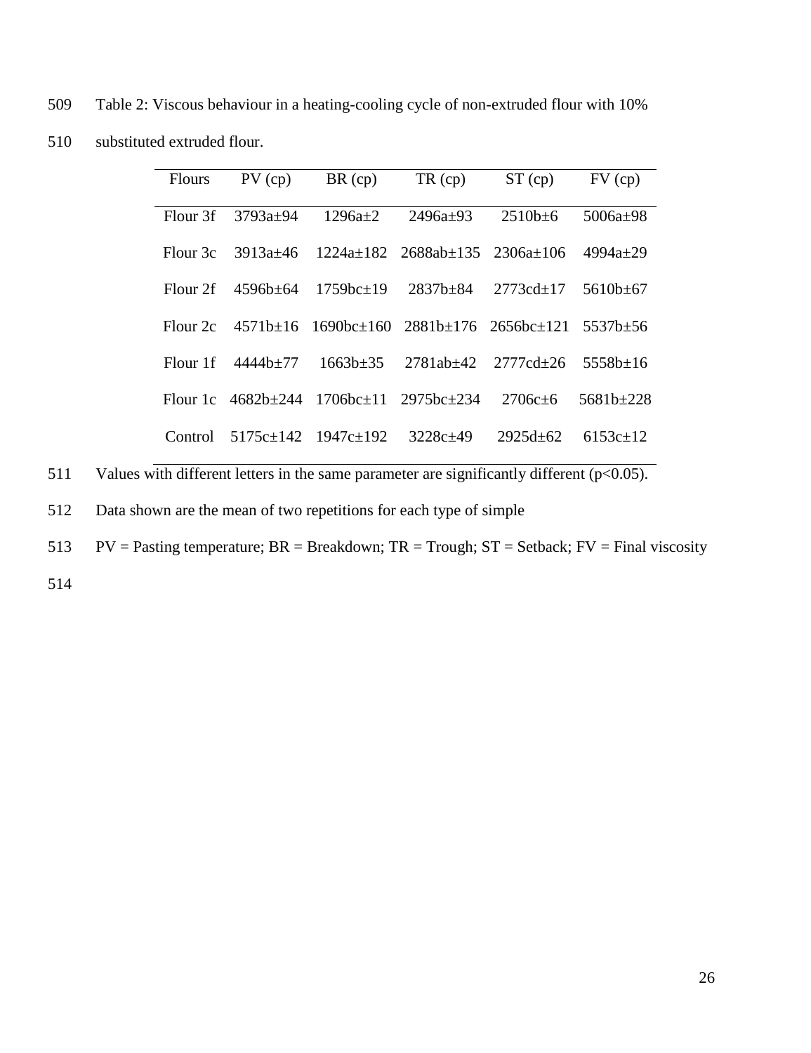509 Table 2: Viscous behaviour in a heating-cooling cycle of non-extruded flour with 10% 510 substituted extruded flour.

| <b>Flours</b>       | $PV$ (cp)  | $BR$ (cp)                       | $TR$ (cp)                                                | $ST$ (cp)      | $FV$ (cp)      |
|---------------------|------------|---------------------------------|----------------------------------------------------------|----------------|----------------|
| Flour <sub>3f</sub> | $3793a+94$ | $1296a+2$                       | $2496a+93$                                               | $2510h + 6$    | $5006a+98$     |
| Flour 3c            | 3913a+46   |                                 | $-1224a+182$ $2688ab+135$ $2306a+106$                    |                | 4994a $\pm$ 29 |
| Flour <sub>2f</sub> | 4596b+64   | $1759$ <sub>bc+19</sub>         | $2837h + 84$                                             | $2773c_{d+17}$ | $5610h + 67$   |
| Flour <sub>2c</sub> |            |                                 | $4571b\pm16$ $1690bc\pm160$ $2881b\pm176$ $2656bc\pm121$ |                | 5537b+56       |
| Flour 1f            | 4444h+77   | $1663b \pm 35$                  | 2781ab+42                                                | 2777cd+26      | $5558h+16$     |
| Flour 1c            | 4682b+244  | $1706$ hc+11 2975hc+234         |                                                          | $2706c + 6$    | $5681h + 228$  |
| Control             |            | $5175c \pm 142$ $1947c \pm 192$ | $3228c+49$                                               | $2925d+62$     | $6153c+12$     |

511 Values with different letters in the same parameter are significantly different  $(p<0.05)$ .

512 Data shown are the mean of two repetitions for each type of simple

513 PV = Pasting temperature;  $BR = Breakdown$ ;  $TR = Trough$ ;  $ST = Setback$ ;  $FV = Final viscosity$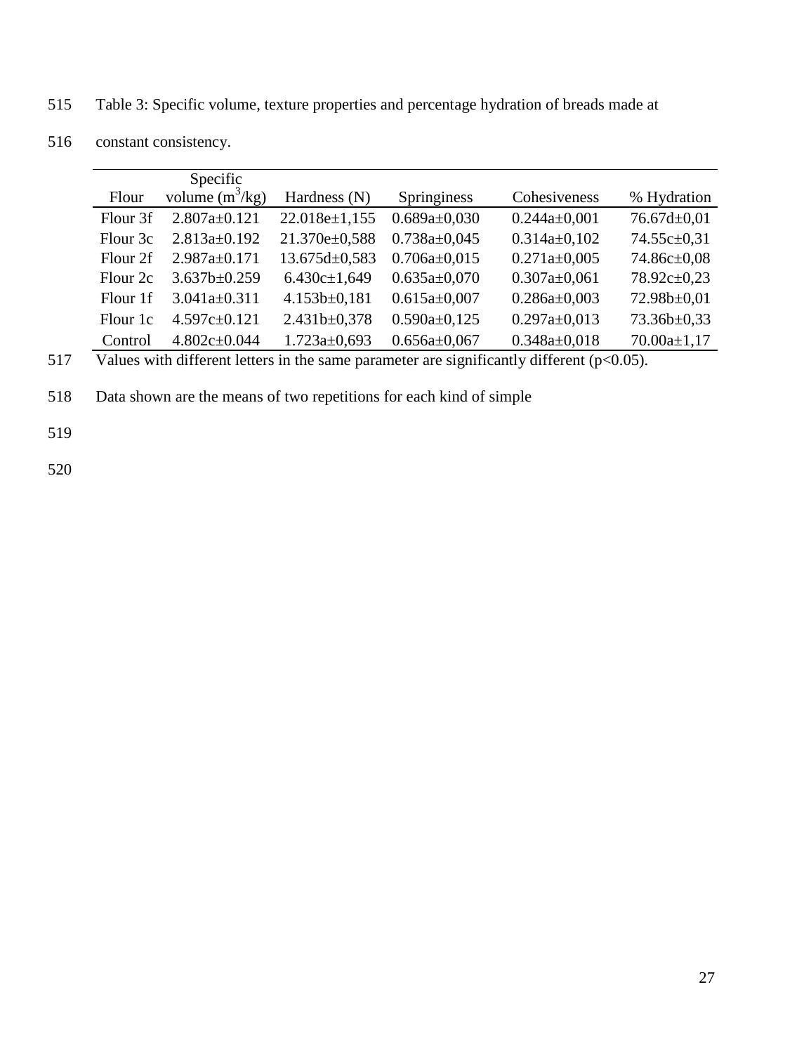515 Table 3: Specific volume, texture properties and percentage hydration of breads made at

|                     | Specific           |                     |                    |                    |                   |
|---------------------|--------------------|---------------------|--------------------|--------------------|-------------------|
| Flour               | volume $(m^3/kg)$  | Hardness (N)        | Springiness        | Cohesiveness       | % Hydration       |
| Flour 3f            | $2.807a \pm 0.121$ | 22.018e±1,155       | $0.689a \pm 0.030$ | $0.244a \pm 0.001$ | $76.67d \pm 0.01$ |
| Flour 3c            | $2.813a \pm 0.192$ | 21.370e±0,588       | $0.738a \pm 0.045$ | $0.314a \pm 0.102$ | 74.55c±0,31       |
| Flour 2f            | $2.987a \pm 0.171$ | $13.675d \pm 0.583$ | $0.706a \pm 0.015$ | $0.271a \pm 0.005$ | 74.86c±0,08       |
| Flour <sub>2c</sub> | $3.637b \pm 0.259$ | $6.430c \pm 1,649$  | $0.635a \pm 0.070$ | $0.307a \pm 0.061$ | 78.92c±0,23       |
| Flour 1f            | $3.041a \pm 0.311$ | $4.153b \pm 0.181$  | $0.615a \pm 0.007$ | $0.286a \pm 0.003$ | 72.98b±0,01       |
| Flour 1c            | $4.597c \pm 0.121$ | 2.431b±0,378        | $0.590a \pm 0.125$ | $0.297a \pm 0.013$ | 73.36b±0,33       |
| Control             | $4.802c \pm 0.044$ | $1.723a \pm 0.693$  | $0.656a \pm 0.067$ | $0.348a \pm 0.018$ | $70.00a \pm 1.17$ |

516 constant consistency.

517 Values with different letters in the same parameter are significantly different  $(p<0.05)$ .

518 Data shown are the means of two repetitions for each kind of simple

519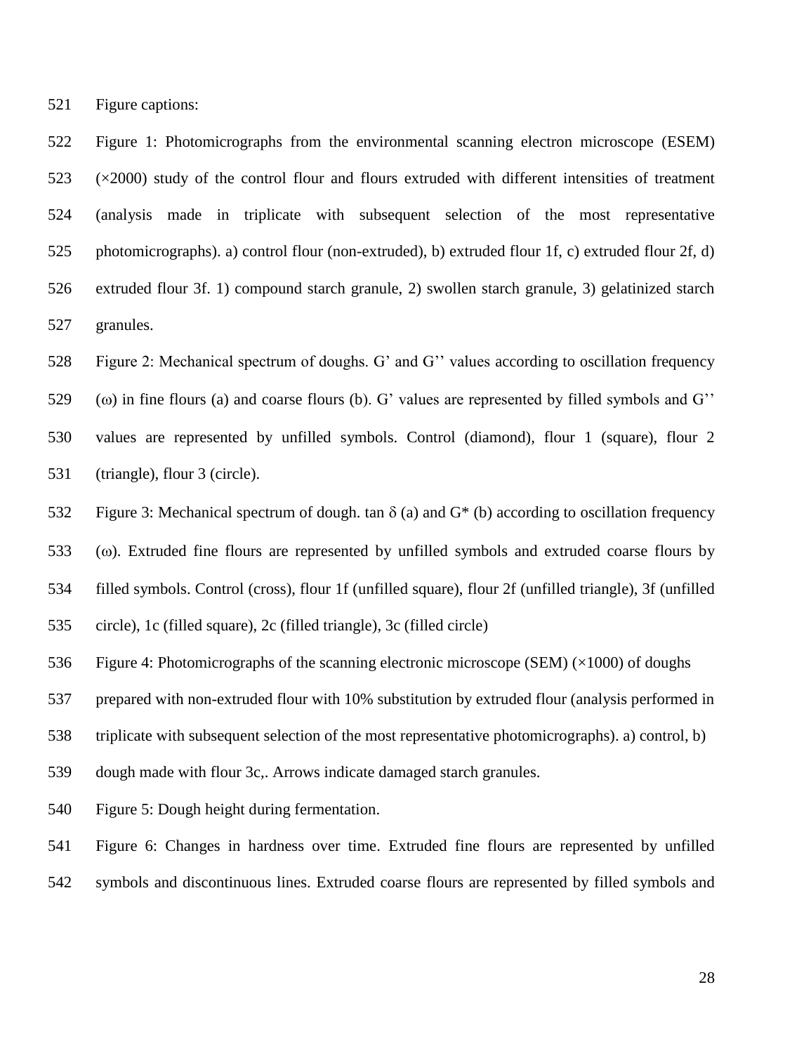Figure captions:

 Figure 1: Photomicrographs from the environmental scanning electron microscope (ESEM) (×2000) study of the control flour and flours extruded with different intensities of treatment (analysis made in triplicate with subsequent selection of the most representative photomicrographs). a) control flour (non-extruded), b) extruded flour 1f, c) extruded flour 2f, d) extruded flour 3f. 1) compound starch granule, 2) swollen starch granule, 3) gelatinized starch granules.

 Figure 2: Mechanical spectrum of doughs. G' and G'' values according to oscillation frequency 529 ( $\omega$ ) in fine flours (a) and coarse flours (b). G' values are represented by filled symbols and G'' values are represented by unfilled symbols. Control (diamond), flour 1 (square), flour 2

(triangle), flour 3 (circle).

532 Figure 3: Mechanical spectrum of dough. tan  $\delta$  (a) and  $G^*$  (b) according to oscillation frequency

( $\omega$ ). Extruded fine flours are represented by unfilled symbols and extruded coarse flours by

filled symbols. Control (cross), flour 1f (unfilled square), flour 2f (unfilled triangle), 3f (unfilled

circle), 1c (filled square), 2c (filled triangle), 3c (filled circle)

536 Figure 4: Photomicrographs of the scanning electronic microscope (SEM)  $(\times 1000)$  of doughs

prepared with non-extruded flour with 10% substitution by extruded flour (analysis performed in

triplicate with subsequent selection of the most representative photomicrographs). a) control, b)

dough made with flour 3c,. Arrows indicate damaged starch granules.

Figure 5: Dough height during fermentation.

 Figure 6: Changes in hardness over time. Extruded fine flours are represented by unfilled symbols and discontinuous lines. Extruded coarse flours are represented by filled symbols and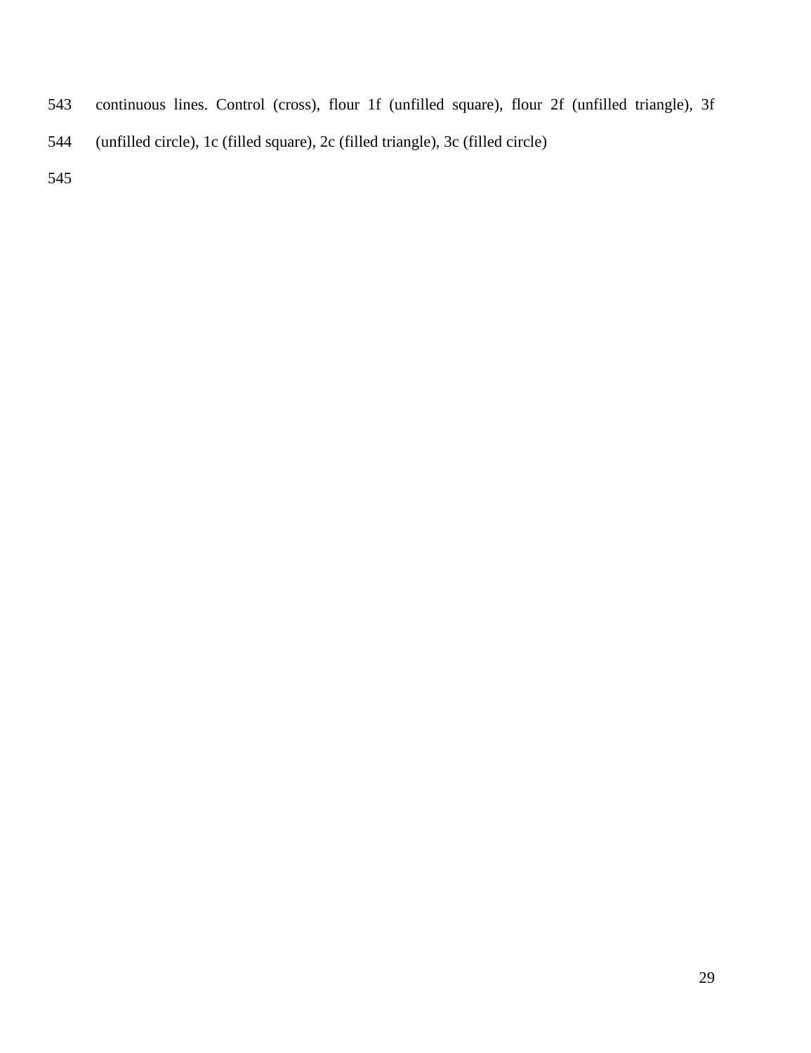- continuous lines. Control (cross), flour 1f (unfilled square), flour 2f (unfilled triangle), 3f
- (unfilled circle), 1c (filled square), 2c (filled triangle), 3c (filled circle)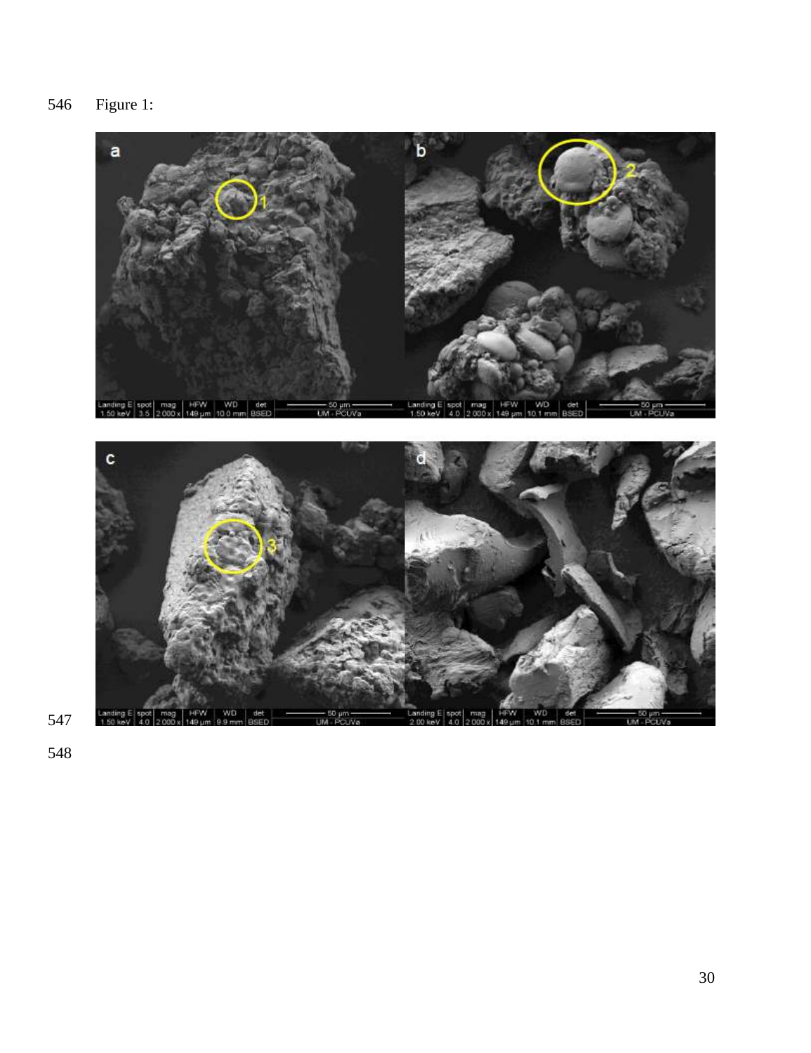Figure 1:

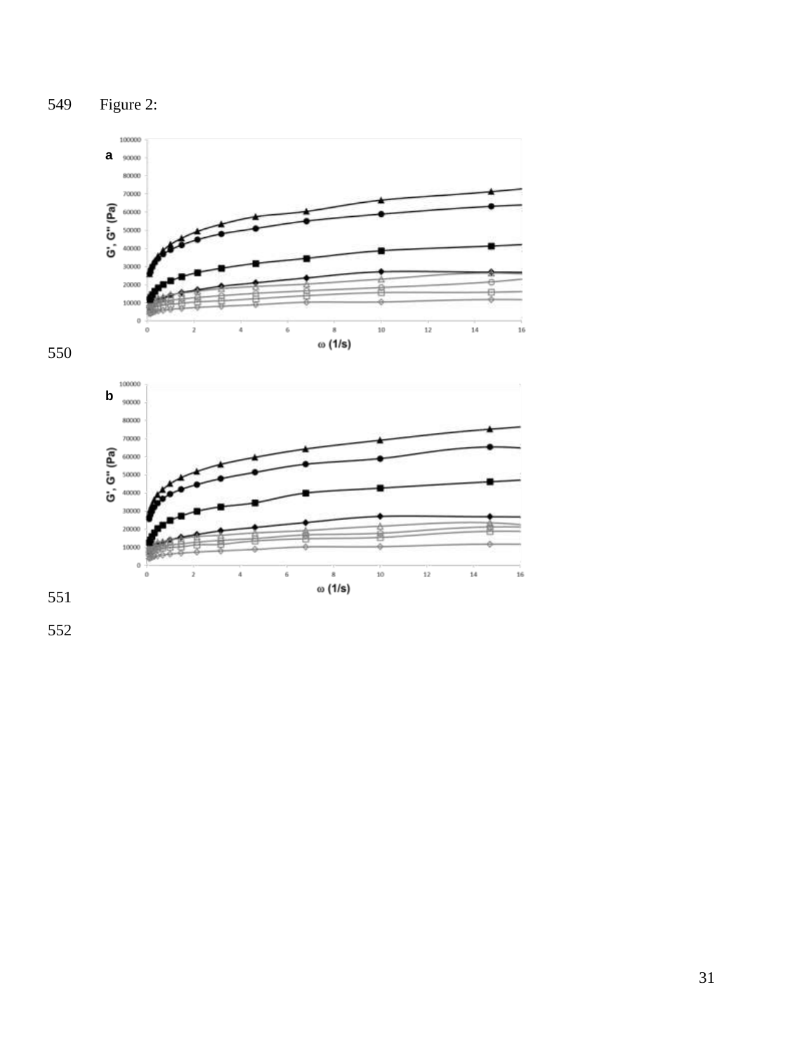



 $\overset{\scriptscriptstyle \mathrm{s}}{\scriptscriptstyle \mathrm{\omega}}$  (1/s)

 $\rm_6$ 

 $10$ 

 $_{\rm 12}$ 

 $_{\rm 14}$ 

 $16$ 

550

551

30000 20000 10000  $\,$  0  $\,$  $_0^+$ 

 $\,$ 

 $\ddot{\rm a}$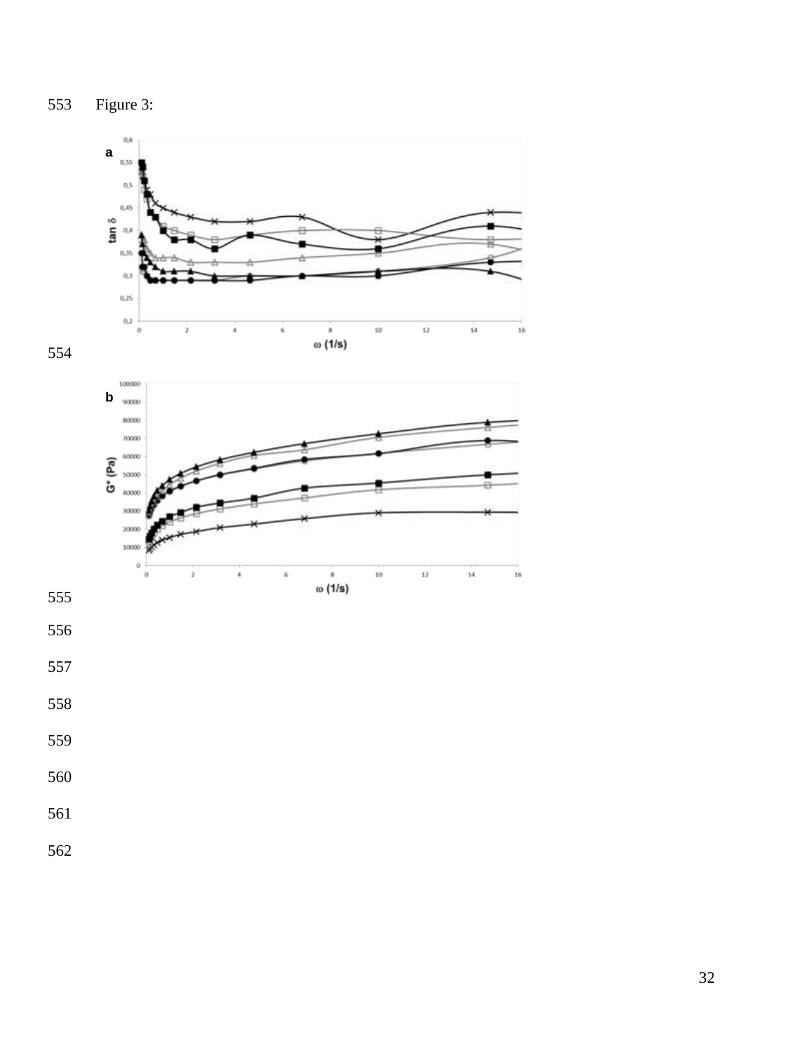

- 
- 
- 
- 
- 
-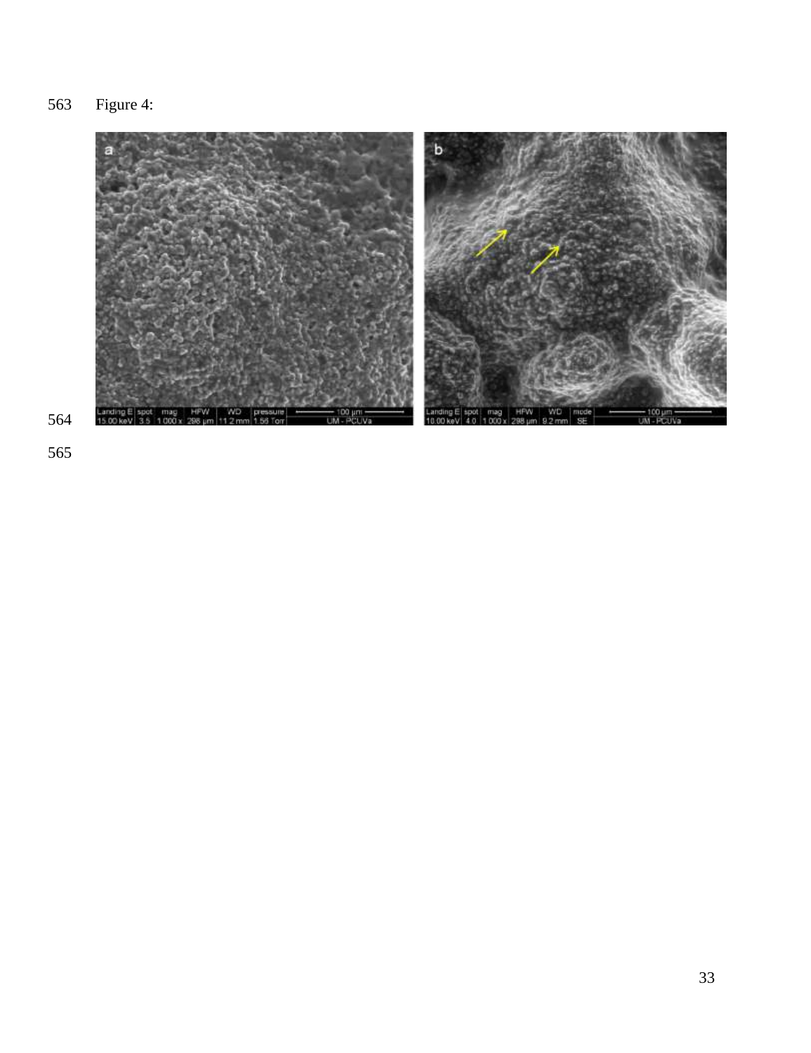Figure 4:

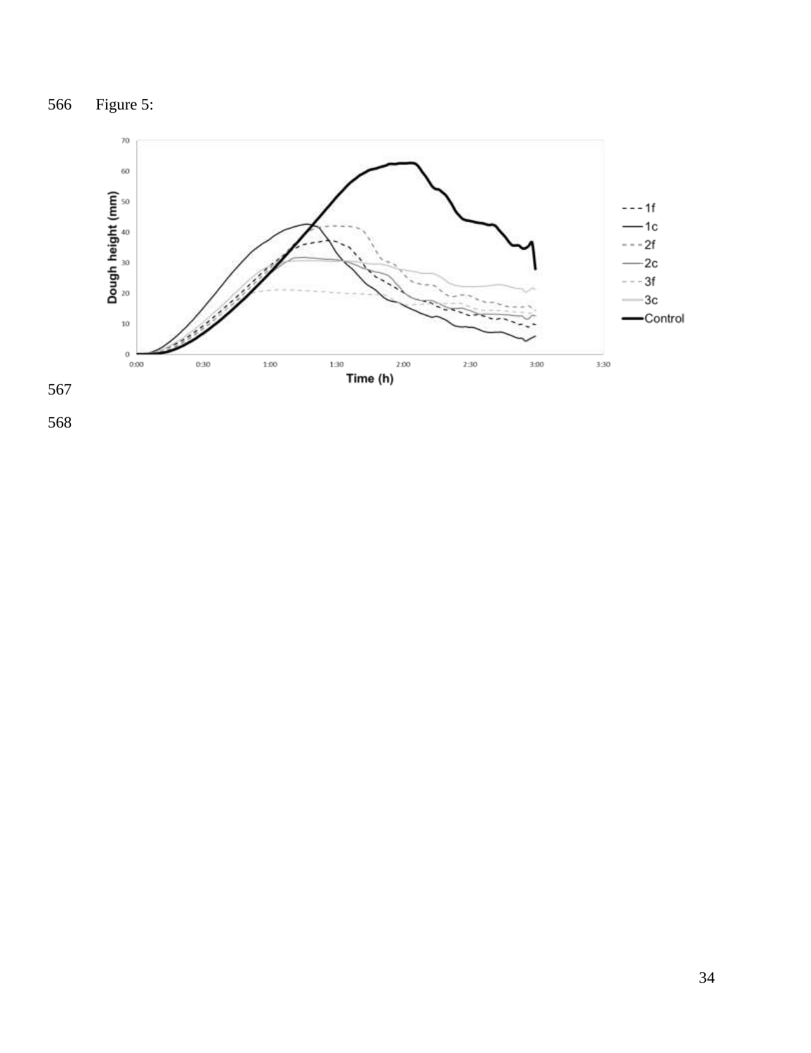